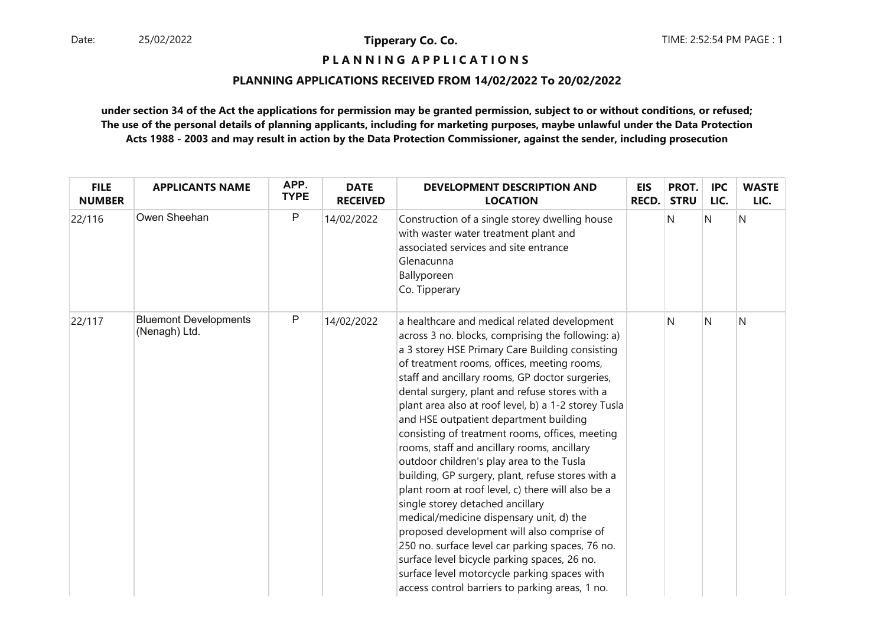# **P L A N N I N G A P P L I C A T I O N S**

### **PLANNING APPLICATIONS RECEIVED FROM 14/02/2022 To 20/02/2022**

| <b>FILE</b><br><b>NUMBER</b> | <b>APPLICANTS NAME</b>                        | APP.<br><b>TYPE</b> | <b>DATE</b><br><b>RECEIVED</b> | <b>DEVELOPMENT DESCRIPTION AND</b><br><b>LOCATION</b>                                                                                                                                                                                                                                                                                                                                                                                                                                                                                                                                                                                                                                                                                                                                                                                                                                                                                                                                                    | EIS<br><b>RECD.</b> | PROT.<br><b>STRU</b> | <b>IPC</b><br>LIC. | <b>WASTE</b><br>LIC. |
|------------------------------|-----------------------------------------------|---------------------|--------------------------------|----------------------------------------------------------------------------------------------------------------------------------------------------------------------------------------------------------------------------------------------------------------------------------------------------------------------------------------------------------------------------------------------------------------------------------------------------------------------------------------------------------------------------------------------------------------------------------------------------------------------------------------------------------------------------------------------------------------------------------------------------------------------------------------------------------------------------------------------------------------------------------------------------------------------------------------------------------------------------------------------------------|---------------------|----------------------|--------------------|----------------------|
| 22/116                       | Owen Sheehan                                  | $\mathsf{P}$        | 14/02/2022                     | Construction of a single storey dwelling house<br>with waster water treatment plant and<br>associated services and site entrance<br>Glenacunna<br>Ballyporeen<br>Co. Tipperary                                                                                                                                                                                                                                                                                                                                                                                                                                                                                                                                                                                                                                                                                                                                                                                                                           |                     | N                    | N                  | N                    |
| 22/117                       | <b>Bluemont Developments</b><br>(Nenagh) Ltd. | ${\sf P}$           | 14/02/2022                     | a healthcare and medical related development<br>across 3 no. blocks, comprising the following: a)<br>a 3 storey HSE Primary Care Building consisting<br>of treatment rooms, offices, meeting rooms,<br>staff and ancillary rooms, GP doctor surgeries,<br>dental surgery, plant and refuse stores with a<br>plant area also at roof level, b) a 1-2 storey Tusla<br>and HSE outpatient department building<br>consisting of treatment rooms, offices, meeting<br>rooms, staff and ancillary rooms, ancillary<br>outdoor children's play area to the Tusla<br>building, GP surgery, plant, refuse stores with a<br>plant room at roof level, c) there will also be a<br>single storey detached ancillary<br>medical/medicine dispensary unit, d) the<br>proposed development will also comprise of<br>250 no. surface level car parking spaces, 76 no.<br>surface level bicycle parking spaces, 26 no.<br>surface level motorcycle parking spaces with<br>access control barriers to parking areas, 1 no. |                     | N                    | N                  | N                    |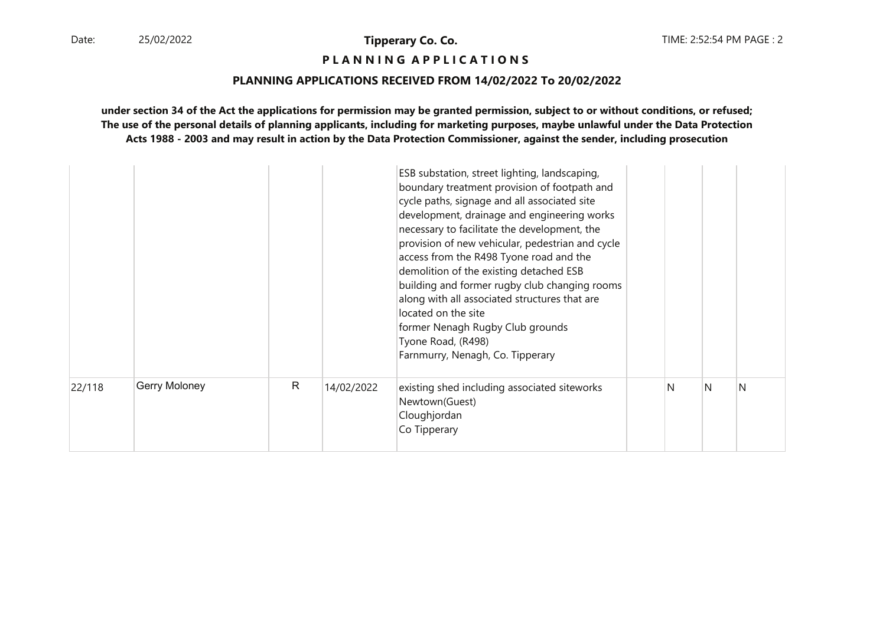# **P L A N N I N G A P P L I C A T I O N S**

#### **PLANNING APPLICATIONS RECEIVED FROM 14/02/2022 To 20/02/2022**

| 22/118 | Gerry Moloney | $\mathsf{R}$ | 14/02/2022 | Tyone Road, (R498)<br>Farnmurry, Nenagh, Co. Tipperary<br>existing shed including associated siteworks<br>Newtown(Guest)<br>Cloughjordan<br>Co Tipperary                                                                                                                                                                                                                                                                                                                                                                                            | N | N | N |
|--------|---------------|--------------|------------|-----------------------------------------------------------------------------------------------------------------------------------------------------------------------------------------------------------------------------------------------------------------------------------------------------------------------------------------------------------------------------------------------------------------------------------------------------------------------------------------------------------------------------------------------------|---|---|---|
|        |               |              |            | ESB substation, street lighting, landscaping,<br>boundary treatment provision of footpath and<br>cycle paths, signage and all associated site<br>development, drainage and engineering works<br>necessary to facilitate the development, the<br>provision of new vehicular, pedestrian and cycle<br>access from the R498 Tyone road and the<br>demolition of the existing detached ESB<br>building and former rugby club changing rooms<br>along with all associated structures that are<br>located on the site<br>former Nenagh Rugby Club grounds |   |   |   |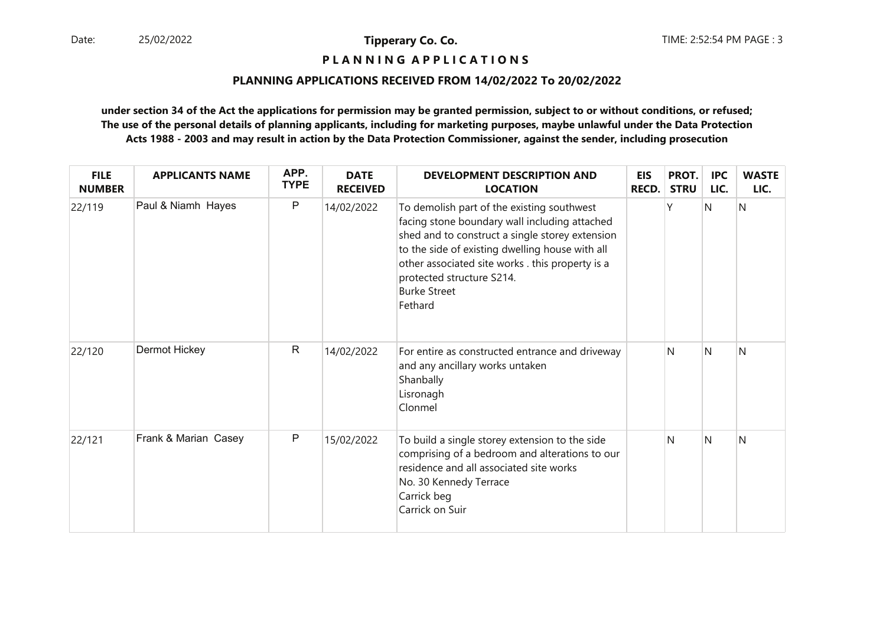# **P L A N N I N G A P P L I C A T I O N S**

### **PLANNING APPLICATIONS RECEIVED FROM 14/02/2022 To 20/02/2022**

| <b>FILE</b><br><b>NUMBER</b> | <b>APPLICANTS NAME</b> | APP.<br><b>TYPE</b> | <b>DATE</b><br><b>RECEIVED</b> | <b>DEVELOPMENT DESCRIPTION AND</b><br><b>LOCATION</b>                                                                                                                                                                                                                                                                | EIS<br><b>RECD.</b> | PROT.<br><b>STRU</b> | <b>IPC</b><br>LIC. | <b>WASTE</b><br>LIC. |
|------------------------------|------------------------|---------------------|--------------------------------|----------------------------------------------------------------------------------------------------------------------------------------------------------------------------------------------------------------------------------------------------------------------------------------------------------------------|---------------------|----------------------|--------------------|----------------------|
| 22/119                       | Paul & Niamh Hayes     | $\sf P$             | 14/02/2022                     | To demolish part of the existing southwest<br>facing stone boundary wall including attached<br>shed and to construct a single storey extension<br>to the side of existing dwelling house with all<br>other associated site works . this property is a<br>protected structure S214.<br><b>Burke Street</b><br>Fethard |                     | ٧                    | Ν                  | N                    |
| 22/120                       | Dermot Hickey          | $\mathsf{R}$        | 14/02/2022                     | For entire as constructed entrance and driveway<br>and any ancillary works untaken<br>Shanbally<br>Lisronagh<br>Clonmel                                                                                                                                                                                              |                     | N                    | Ν                  | N                    |
| 22/121                       | Frank & Marian Casey   | $\mathsf P$         | 15/02/2022                     | To build a single storey extension to the side<br>comprising of a bedroom and alterations to our<br>residence and all associated site works<br>No. 30 Kennedy Terrace<br>Carrick beg<br>Carrick on Suir                                                                                                              |                     | N                    | N                  | N                    |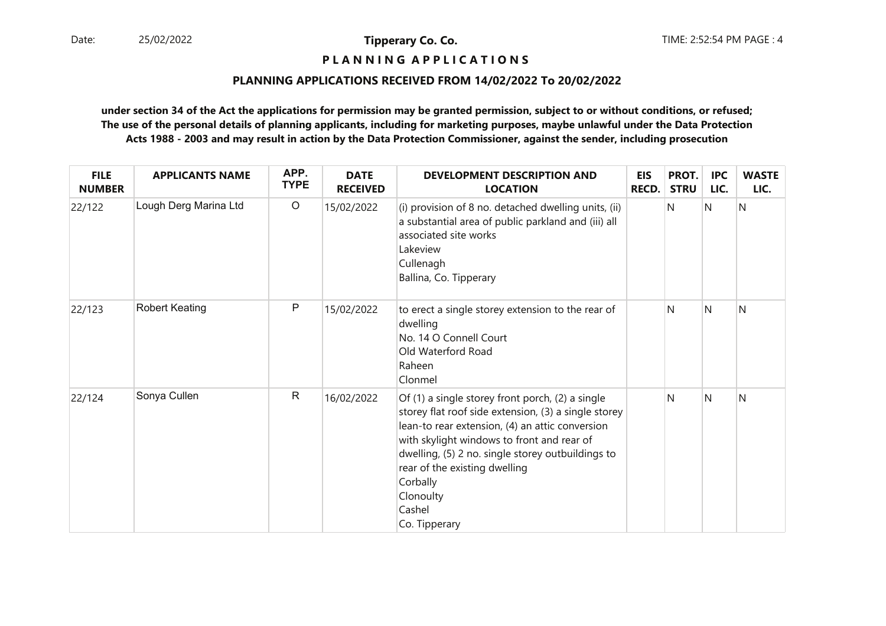# **P L A N N I N G A P P L I C A T I O N S**

### **PLANNING APPLICATIONS RECEIVED FROM 14/02/2022 To 20/02/2022**

| <b>FILE</b><br><b>NUMBER</b> | <b>APPLICANTS NAME</b> | APP.<br><b>TYPE</b> | <b>DATE</b><br><b>RECEIVED</b> | <b>DEVELOPMENT DESCRIPTION AND</b><br><b>LOCATION</b>                                                                                                                                                                                                                                                                                               | <b>EIS</b><br><b>RECD.</b> | PROT.<br><b>STRU</b> | <b>IPC</b><br>LIC. | <b>WASTE</b><br>LIC. |
|------------------------------|------------------------|---------------------|--------------------------------|-----------------------------------------------------------------------------------------------------------------------------------------------------------------------------------------------------------------------------------------------------------------------------------------------------------------------------------------------------|----------------------------|----------------------|--------------------|----------------------|
| 22/122                       | Lough Derg Marina Ltd  | $\circ$             | 15/02/2022                     | (i) provision of 8 no. detached dwelling units, (ii)<br>a substantial area of public parkland and (iii) all<br>associated site works<br>Lakeview<br>Cullenagh<br>Ballina, Co. Tipperary                                                                                                                                                             |                            | N                    | N                  | N                    |
| 22/123                       | Robert Keating         | P                   | 15/02/2022                     | to erect a single storey extension to the rear of<br>dwelling<br>No. 14 O Connell Court<br>Old Waterford Road<br>Raheen<br>Clonmel                                                                                                                                                                                                                  |                            | N                    | $\mathsf{N}$       | N                    |
| 22/124                       | Sonya Cullen           | $\mathsf{R}$        | 16/02/2022                     | Of (1) a single storey front porch, (2) a single<br>storey flat roof side extension, (3) a single storey<br>lean-to rear extension, (4) an attic conversion<br>with skylight windows to front and rear of<br>dwelling, (5) 2 no. single storey outbuildings to<br>rear of the existing dwelling<br>Corbally<br>Clonoulty<br>Cashel<br>Co. Tipperary |                            | N                    | N                  | Ν                    |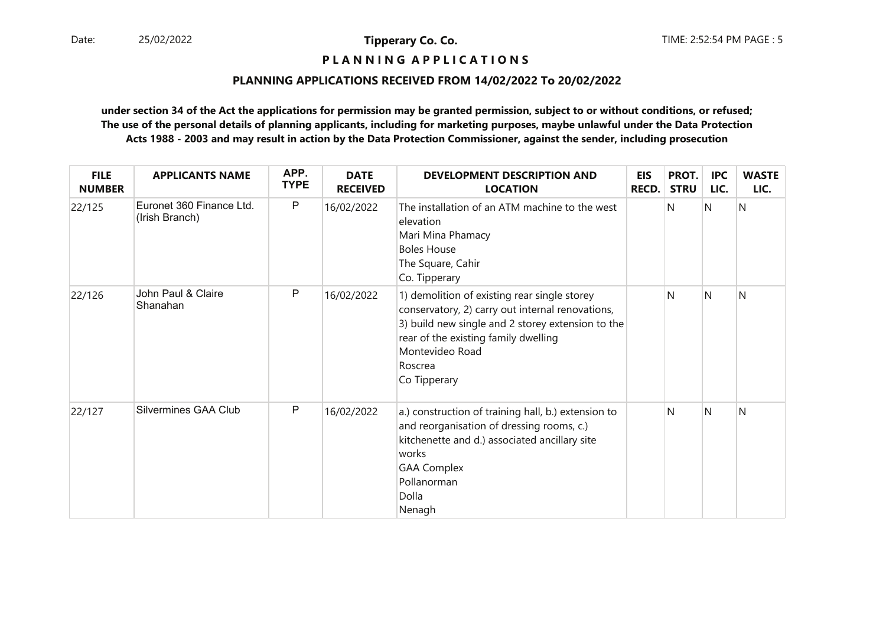# **P L A N N I N G A P P L I C A T I O N S**

### **PLANNING APPLICATIONS RECEIVED FROM 14/02/2022 To 20/02/2022**

| <b>FILE</b><br><b>NUMBER</b> | <b>APPLICANTS NAME</b>                     | APP.<br><b>TYPE</b> | <b>DATE</b><br><b>RECEIVED</b> | <b>DEVELOPMENT DESCRIPTION AND</b><br><b>LOCATION</b>                                                                                                                                                                                       | <b>EIS</b><br><b>RECD.</b> | PROT.<br><b>STRU</b> | IPC<br>LIC. | <b>WASTE</b><br>LIC. |
|------------------------------|--------------------------------------------|---------------------|--------------------------------|---------------------------------------------------------------------------------------------------------------------------------------------------------------------------------------------------------------------------------------------|----------------------------|----------------------|-------------|----------------------|
| 22/125                       | Euronet 360 Finance Ltd.<br>(Irish Branch) | P                   | 16/02/2022                     | The installation of an ATM machine to the west<br>elevation<br>Mari Mina Phamacy<br><b>Boles House</b><br>The Square, Cahir<br>Co. Tipperary                                                                                                |                            | N                    | Ν           | N                    |
| 22/126                       | John Paul & Claire<br>Shanahan             | P                   | 16/02/2022                     | 1) demolition of existing rear single storey<br>conservatory, 2) carry out internal renovations,<br>3) build new single and 2 storey extension to the<br>rear of the existing family dwelling<br>Montevideo Road<br>Roscrea<br>Co Tipperary |                            | N                    | N           | N                    |
| 22/127                       | Silvermines GAA Club                       | P                   | 16/02/2022                     | a.) construction of training hall, b.) extension to<br>and reorganisation of dressing rooms, c.)<br>kitchenette and d.) associated ancillary site<br>works<br><b>GAA Complex</b><br>Pollanorman<br>Dolla<br>Nenagh                          |                            | N                    | N           | N                    |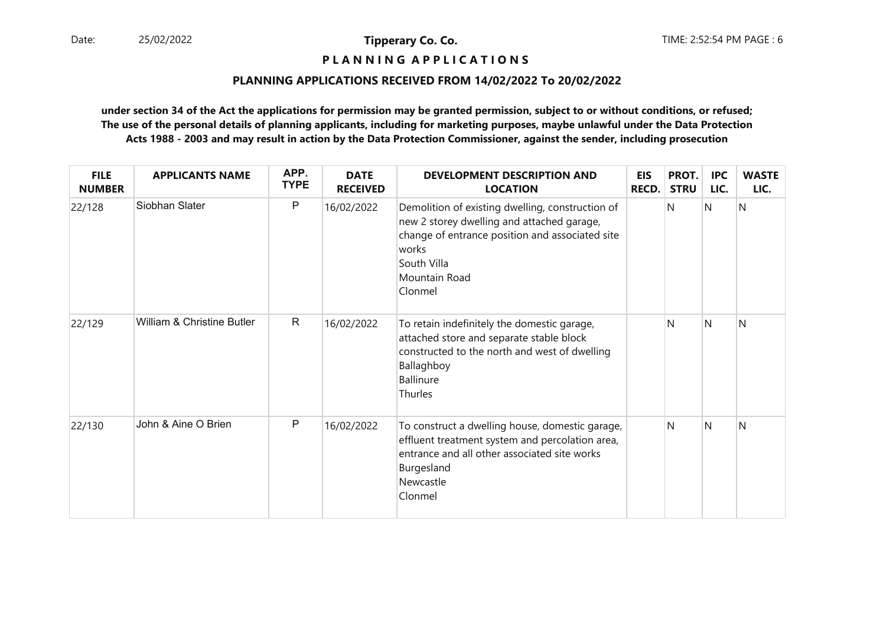**P L A N N I N G A P P L I C A T I O N S** 

### **PLANNING APPLICATIONS RECEIVED FROM 14/02/2022 To 20/02/2022**

| <b>FILE</b><br><b>NUMBER</b> | <b>APPLICANTS NAME</b>     | APP.<br><b>TYPE</b> | <b>DATE</b><br><b>RECEIVED</b> | <b>DEVELOPMENT DESCRIPTION AND</b><br><b>LOCATION</b>                                                                                                                                                 | <b>EIS</b><br>RECD. | PROT.<br><b>STRU</b> | <b>IPC</b><br>LIC. | <b>WASTE</b><br>LIC. |
|------------------------------|----------------------------|---------------------|--------------------------------|-------------------------------------------------------------------------------------------------------------------------------------------------------------------------------------------------------|---------------------|----------------------|--------------------|----------------------|
| 22/128                       | Siobhan Slater             | P                   | 16/02/2022                     | Demolition of existing dwelling, construction of<br>new 2 storey dwelling and attached garage,<br>change of entrance position and associated site<br>works<br>South Villa<br>Mountain Road<br>Clonmel |                     | N                    | N                  | N                    |
| 22/129                       | William & Christine Butler | $\mathsf{R}$        | 16/02/2022                     | To retain indefinitely the domestic garage,<br>attached store and separate stable block<br>constructed to the north and west of dwelling<br>Ballaghboy<br><b>Ballinure</b><br>Thurles                 |                     | N                    | N                  | N                    |
| 22/130                       | John & Aine O Brien        | P                   | 16/02/2022                     | To construct a dwelling house, domestic garage,<br>effluent treatment system and percolation area,<br>entrance and all other associated site works<br>Burgesland<br>Newcastle<br>Clonmel              |                     | N                    | N                  | N                    |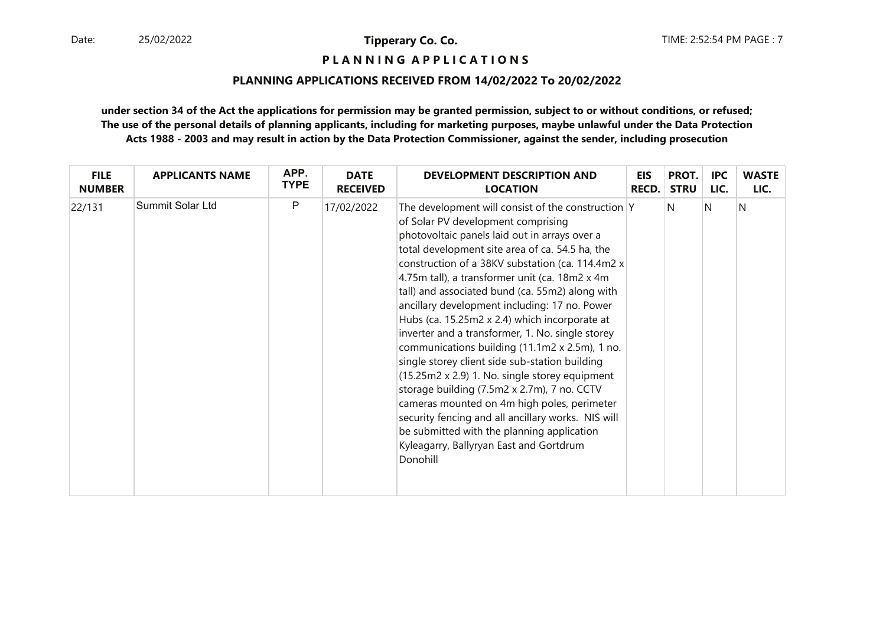**P L A N N I N G A P P L I C A T I O N S** 

### **PLANNING APPLICATIONS RECEIVED FROM 14/02/2022 To 20/02/2022**

| <b>FILE</b>   | <b>APPLICANTS NAME</b> | APP.        | <b>DATE</b>     | <b>DEVELOPMENT DESCRIPTION AND</b>                                                                                                                                                                                                                                                                                                                                                                                                                                                                                                                                                                                                                                                                                                                                                                                                                                                                                           | <b>EIS</b> | PROT.       | <b>IPC</b> | <b>WASTE</b> |
|---------------|------------------------|-------------|-----------------|------------------------------------------------------------------------------------------------------------------------------------------------------------------------------------------------------------------------------------------------------------------------------------------------------------------------------------------------------------------------------------------------------------------------------------------------------------------------------------------------------------------------------------------------------------------------------------------------------------------------------------------------------------------------------------------------------------------------------------------------------------------------------------------------------------------------------------------------------------------------------------------------------------------------------|------------|-------------|------------|--------------|
| <b>NUMBER</b> |                        | <b>TYPE</b> | <b>RECEIVED</b> | <b>LOCATION</b>                                                                                                                                                                                                                                                                                                                                                                                                                                                                                                                                                                                                                                                                                                                                                                                                                                                                                                              | RECD.      | <b>STRU</b> | LIC.       | LIC.         |
| 22/131        | Summit Solar Ltd       | P           | 17/02/2022      | The development will consist of the construction Y<br>of Solar PV development comprising<br>photovoltaic panels laid out in arrays over a<br>total development site area of ca. 54.5 ha, the<br>construction of a 38KV substation (ca. 114.4m2 x<br>4.75m tall), a transformer unit (ca. 18m2 x 4m<br>tall) and associated bund (ca. 55m2) along with<br>ancillary development including: 17 no. Power<br>Hubs (ca. 15.25m2 x 2.4) which incorporate at<br>inverter and a transformer, 1. No. single storey<br>communications building (11.1m2 x 2.5m), 1 no.<br>single storey client side sub-station building<br>$(15.25m2 x 2.9)$ 1. No. single storey equipment<br>storage building (7.5m2 x 2.7m), 7 no. CCTV<br>cameras mounted on 4m high poles, perimeter<br>security fencing and all ancillary works. NIS will<br>be submitted with the planning application<br>Kyleagarry, Ballyryan East and Gortdrum<br>Donohill |            | IN.         | N          | N            |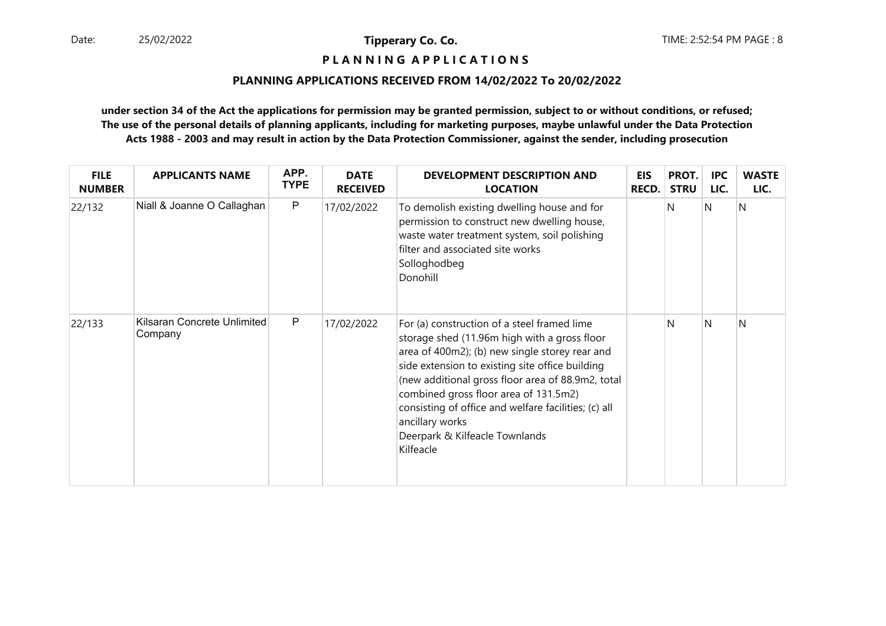# **P L A N N I N G A P P L I C A T I O N S**

### **PLANNING APPLICATIONS RECEIVED FROM 14/02/2022 To 20/02/2022**

| <b>FILE</b><br><b>NUMBER</b> | <b>APPLICANTS NAME</b>                 | APP.<br><b>TYPE</b> | <b>DATE</b><br><b>RECEIVED</b> | <b>DEVELOPMENT DESCRIPTION AND</b><br><b>LOCATION</b>                                                                                                                                                                                                                                                                                                                                                                    | <b>EIS</b><br><b>RECD.</b> | PROT.<br><b>STRU</b> | <b>IPC</b><br>LIC. | <b>WASTE</b><br>LIC. |
|------------------------------|----------------------------------------|---------------------|--------------------------------|--------------------------------------------------------------------------------------------------------------------------------------------------------------------------------------------------------------------------------------------------------------------------------------------------------------------------------------------------------------------------------------------------------------------------|----------------------------|----------------------|--------------------|----------------------|
| 22/132                       | Niall & Joanne O Callaghan             | $\mathsf{P}$        | 17/02/2022                     | To demolish existing dwelling house and for<br>permission to construct new dwelling house,<br>waste water treatment system, soil polishing<br>filter and associated site works<br>Solloghodbeg<br>Donohill                                                                                                                                                                                                               |                            | N                    | N                  | IN.                  |
| 22/133                       | Kilsaran Concrete Unlimited<br>Company | $\mathsf{P}$        | 17/02/2022                     | For (a) construction of a steel framed lime<br>storage shed (11.96m high with a gross floor<br>area of 400m2); (b) new single storey rear and<br>side extension to existing site office building<br>(new additional gross floor area of 88.9m2, total<br>combined gross floor area of 131.5m2)<br>consisting of office and welfare facilities; (c) all<br>ancillary works<br>Deerpark & Kilfeacle Townlands<br>Kilfeacle |                            | N                    | N                  | N                    |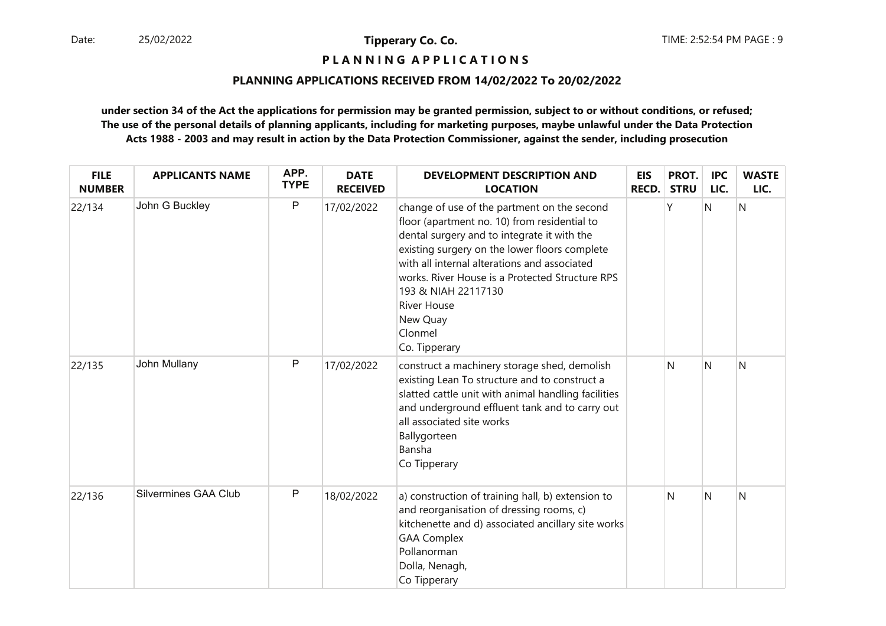**P L A N N I N G A P P L I C A T I O N S** 

### **PLANNING APPLICATIONS RECEIVED FROM 14/02/2022 To 20/02/2022**

| <b>FILE</b><br><b>NUMBER</b> | <b>APPLICANTS NAME</b>      | APP.<br><b>TYPE</b> | <b>DATE</b><br><b>RECEIVED</b> | <b>DEVELOPMENT DESCRIPTION AND</b><br><b>LOCATION</b>                                                                                                                                                                                                                                                                                                                               | EIS<br>RECD. | PROT.<br><b>STRU</b> | <b>IPC</b><br>LIC. | <b>WASTE</b><br>LIC. |
|------------------------------|-----------------------------|---------------------|--------------------------------|-------------------------------------------------------------------------------------------------------------------------------------------------------------------------------------------------------------------------------------------------------------------------------------------------------------------------------------------------------------------------------------|--------------|----------------------|--------------------|----------------------|
| 22/134                       | John G Buckley              | $\mathsf{P}$        | 17/02/2022                     | change of use of the partment on the second<br>floor (apartment no. 10) from residential to<br>dental surgery and to integrate it with the<br>existing surgery on the lower floors complete<br>with all internal alterations and associated<br>works. River House is a Protected Structure RPS<br>193 & NIAH 22117130<br><b>River House</b><br>New Quay<br>Clonmel<br>Co. Tipperary |              |                      | N                  | N                    |
| 22/135                       | John Mullany                | $\mathsf{P}$        | 17/02/2022                     | construct a machinery storage shed, demolish<br>existing Lean To structure and to construct a<br>slatted cattle unit with animal handling facilities<br>and underground effluent tank and to carry out<br>all associated site works<br>Ballygorteen<br>Bansha<br>Co Tipperary                                                                                                       |              | N                    | $\mathsf{N}$       | N                    |
| 22/136                       | <b>Silvermines GAA Club</b> | $\mathsf{P}$        | 18/02/2022                     | a) construction of training hall, b) extension to<br>and reorganisation of dressing rooms, c)<br>kitchenette and d) associated ancillary site works<br><b>GAA Complex</b><br>Pollanorman<br>Dolla, Nenagh,<br>Co Tipperary                                                                                                                                                          |              | N                    | N                  | N                    |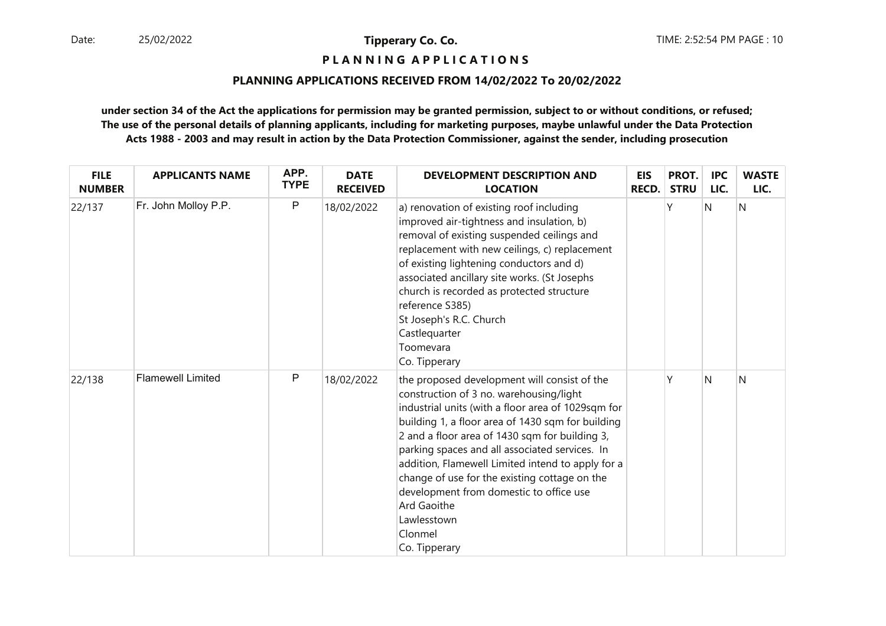**P L A N N I N G A P P L I C A T I O N S** 

### **PLANNING APPLICATIONS RECEIVED FROM 14/02/2022 To 20/02/2022**

| <b>FILE</b><br><b>NUMBER</b> | <b>APPLICANTS NAME</b>   | APP.<br><b>TYPE</b> | <b>DATE</b><br><b>RECEIVED</b> | <b>DEVELOPMENT DESCRIPTION AND</b><br><b>LOCATION</b>                                                                                                                                                                                                                                                                                                                                                                                                                                                                    | <b>EIS</b><br><b>RECD.</b> | PROT.<br><b>STRU</b> | <b>IPC</b><br>LIC. | <b>WASTE</b><br>LIC. |
|------------------------------|--------------------------|---------------------|--------------------------------|--------------------------------------------------------------------------------------------------------------------------------------------------------------------------------------------------------------------------------------------------------------------------------------------------------------------------------------------------------------------------------------------------------------------------------------------------------------------------------------------------------------------------|----------------------------|----------------------|--------------------|----------------------|
| 22/137                       | Fr. John Molloy P.P.     | $\mathsf{P}$        | 18/02/2022                     | a) renovation of existing roof including<br>improved air-tightness and insulation, b)<br>removal of existing suspended ceilings and<br>replacement with new ceilings, c) replacement<br>of existing lightening conductors and d)<br>associated ancillary site works. (St Josephs<br>church is recorded as protected structure<br>reference S385)<br>St Joseph's R.C. Church<br>Castlequarter<br>Toomevara<br>Co. Tipperary                                                                                               |                            | Υ                    | N                  | N                    |
| 22/138                       | <b>Flamewell Limited</b> | P                   | 18/02/2022                     | the proposed development will consist of the<br>construction of 3 no. warehousing/light<br>industrial units (with a floor area of 1029sqm for<br>building 1, a floor area of 1430 sqm for building<br>2 and a floor area of 1430 sqm for building 3,<br>parking spaces and all associated services. In<br>addition, Flamewell Limited intend to apply for a<br>change of use for the existing cottage on the<br>development from domestic to office use<br><b>Ard Gaoithe</b><br>Lawlesstown<br>Clonmel<br>Co. Tipperary |                            | γ                    | N                  | N                    |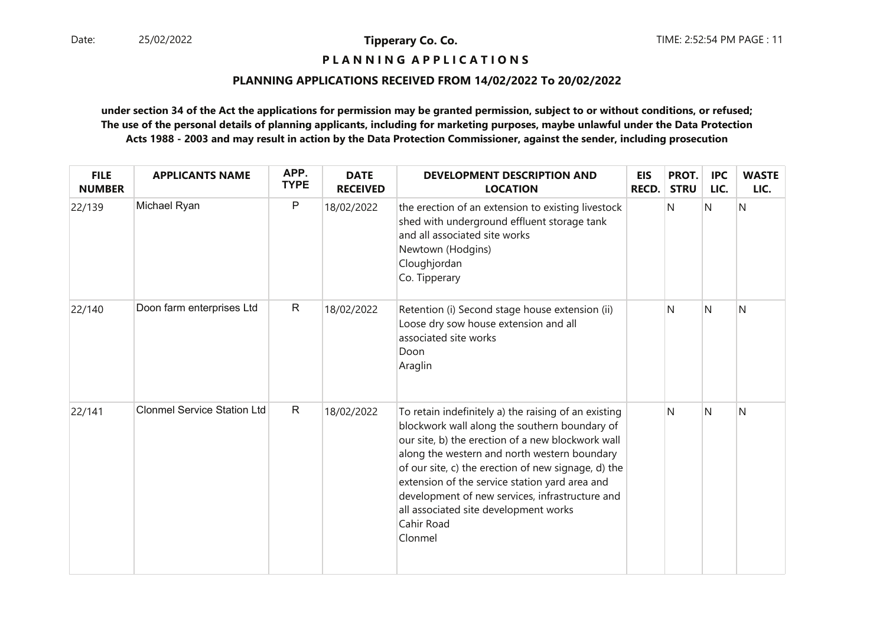# **P L A N N I N G A P P L I C A T I O N S**

### **PLANNING APPLICATIONS RECEIVED FROM 14/02/2022 To 20/02/2022**

| <b>FILE</b><br><b>NUMBER</b> | <b>APPLICANTS NAME</b>             | APP.<br><b>TYPE</b> | <b>DATE</b><br><b>RECEIVED</b> | <b>DEVELOPMENT DESCRIPTION AND</b><br><b>LOCATION</b>                                                                                                                                                                                                                                                                                                                                                                                    | <b>EIS</b><br>RECD. | PROT.<br><b>STRU</b> | <b>IPC</b><br>LIC. | <b>WASTE</b><br>LIC. |
|------------------------------|------------------------------------|---------------------|--------------------------------|------------------------------------------------------------------------------------------------------------------------------------------------------------------------------------------------------------------------------------------------------------------------------------------------------------------------------------------------------------------------------------------------------------------------------------------|---------------------|----------------------|--------------------|----------------------|
| 22/139                       | Michael Ryan                       | ${\sf P}$           | 18/02/2022                     | the erection of an extension to existing livestock<br>shed with underground effluent storage tank<br>and all associated site works<br>Newtown (Hodgins)<br>Cloughjordan<br>Co. Tipperary                                                                                                                                                                                                                                                 |                     | N                    | Ν                  | N                    |
| 22/140                       | Doon farm enterprises Ltd          | $\mathsf{R}$        | 18/02/2022                     | Retention (i) Second stage house extension (ii)<br>Loose dry sow house extension and all<br>associated site works<br>Doon<br>Araglin                                                                                                                                                                                                                                                                                                     |                     | N                    | N                  | N                    |
| 22/141                       | <b>Clonmel Service Station Ltd</b> | $\mathsf{R}$        | 18/02/2022                     | To retain indefinitely a) the raising of an existing<br>blockwork wall along the southern boundary of<br>our site, b) the erection of a new blockwork wall<br>along the western and north western boundary<br>of our site, c) the erection of new signage, d) the<br>extension of the service station yard area and<br>development of new services, infrastructure and<br>all associated site development works<br>Cahir Road<br>Clonmel |                     | N                    | N                  | N                    |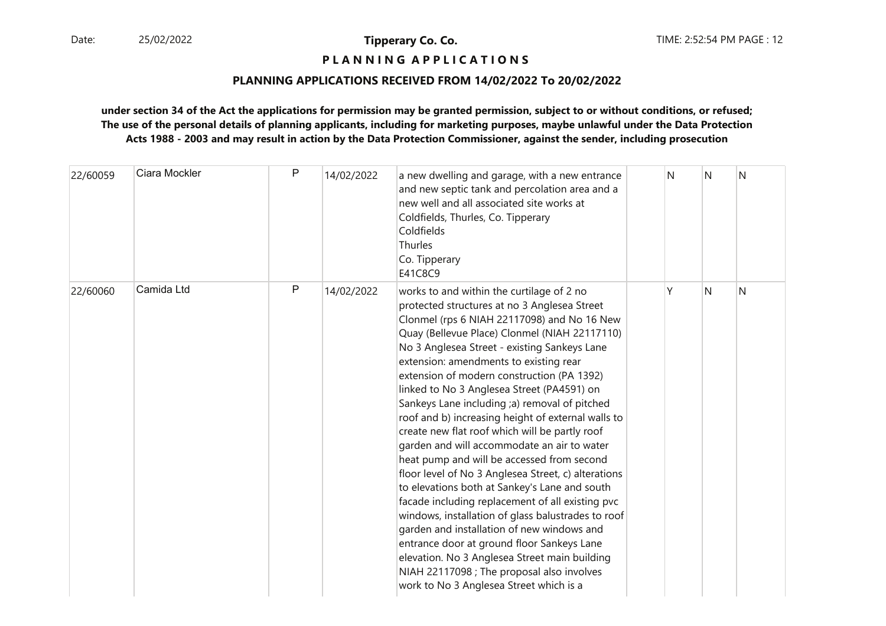# **P L A N N I N G A P P L I C A T I O N S**

### **PLANNING APPLICATIONS RECEIVED FROM 14/02/2022 To 20/02/2022**

| 22/60059 | Ciara Mockler | $\mathsf{P}$ | 14/02/2022 | a new dwelling and garage, with a new entrance<br>and new septic tank and percolation area and a<br>new well and all associated site works at<br>Coldfields, Thurles, Co. Tipperary<br>Coldfields<br>Thurles<br>Co. Tipperary<br>E41C8C9                                                                                                                                                                                                                                                                                                                                                                                                                                                                                                                                                                                                                                                                                                                                                                                                                                                      | N | N | N |
|----------|---------------|--------------|------------|-----------------------------------------------------------------------------------------------------------------------------------------------------------------------------------------------------------------------------------------------------------------------------------------------------------------------------------------------------------------------------------------------------------------------------------------------------------------------------------------------------------------------------------------------------------------------------------------------------------------------------------------------------------------------------------------------------------------------------------------------------------------------------------------------------------------------------------------------------------------------------------------------------------------------------------------------------------------------------------------------------------------------------------------------------------------------------------------------|---|---|---|
| 22/60060 | Camida Ltd    | P            | 14/02/2022 | works to and within the curtilage of 2 no<br>protected structures at no 3 Anglesea Street<br>Clonmel (rps 6 NIAH 22117098) and No 16 New<br>Quay (Bellevue Place) Clonmel (NIAH 22117110)<br>No 3 Anglesea Street - existing Sankeys Lane<br>extension: amendments to existing rear<br>extension of modern construction (PA 1392)<br>linked to No 3 Anglesea Street (PA4591) on<br>Sankeys Lane including ;a) removal of pitched<br>roof and b) increasing height of external walls to<br>create new flat roof which will be partly roof<br>garden and will accommodate an air to water<br>heat pump and will be accessed from second<br>floor level of No 3 Anglesea Street, c) alterations<br>to elevations both at Sankey's Lane and south<br>facade including replacement of all existing pvc<br>windows, installation of glass balustrades to roof<br>garden and installation of new windows and<br>entrance door at ground floor Sankeys Lane<br>elevation. No 3 Anglesea Street main building<br>NIAH 22117098 ; The proposal also involves<br>work to No 3 Anglesea Street which is a | Υ | N | N |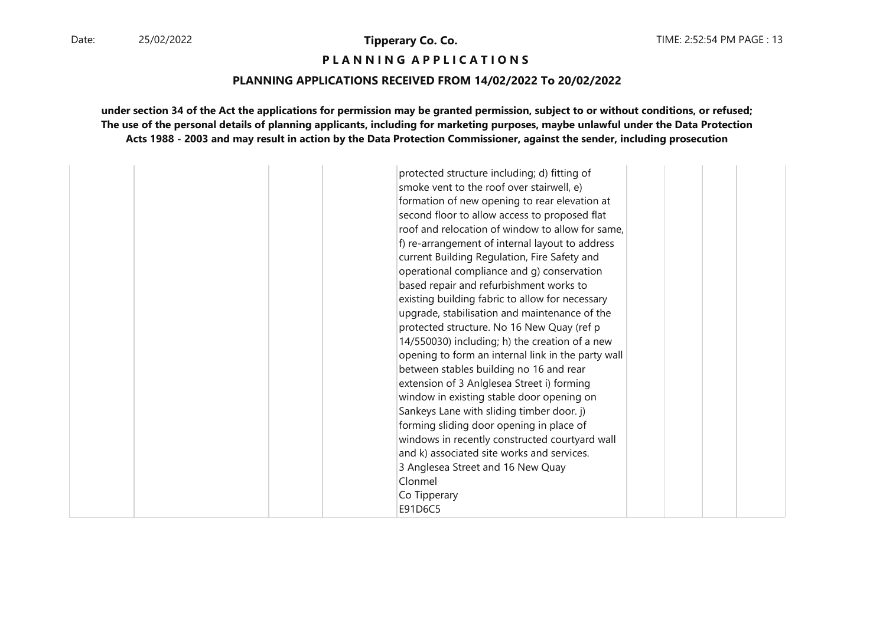**P L A N N I N G A P P L I C A T I O N S** 

### **PLANNING APPLICATIONS RECEIVED FROM 14/02/2022 To 20/02/2022**

| protected structure including; d) fitting of       |  |  |
|----------------------------------------------------|--|--|
| smoke vent to the roof over stairwell, e)          |  |  |
| formation of new opening to rear elevation at      |  |  |
| second floor to allow access to proposed flat      |  |  |
| roof and relocation of window to allow for same,   |  |  |
| f) re-arrangement of internal layout to address    |  |  |
| current Building Regulation, Fire Safety and       |  |  |
| operational compliance and q) conservation         |  |  |
| based repair and refurbishment works to            |  |  |
| existing building fabric to allow for necessary    |  |  |
| upgrade, stabilisation and maintenance of the      |  |  |
| protected structure. No 16 New Quay (ref p         |  |  |
| 14/550030) including; h) the creation of a new     |  |  |
| opening to form an internal link in the party wall |  |  |
| between stables building no 16 and rear            |  |  |
|                                                    |  |  |
| extension of 3 Anlglesea Street i) forming         |  |  |
| window in existing stable door opening on          |  |  |
| Sankeys Lane with sliding timber door. j)          |  |  |
| forming sliding door opening in place of           |  |  |
| windows in recently constructed courtyard wall     |  |  |
| and k) associated site works and services.         |  |  |
| 3 Anglesea Street and 16 New Quay                  |  |  |
| Clonmel                                            |  |  |
| Co Tipperary                                       |  |  |
| E91D6C5                                            |  |  |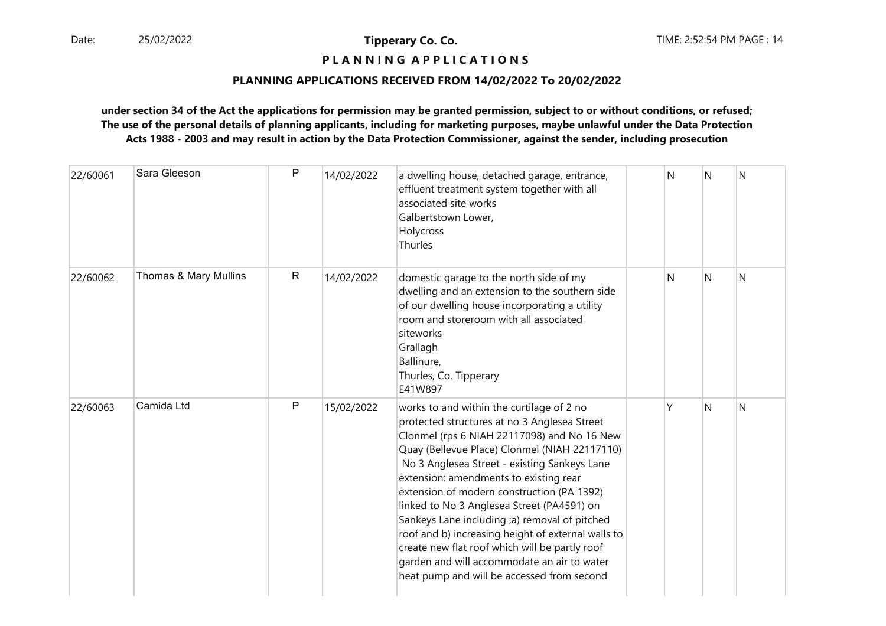# **P L A N N I N G A P P L I C A T I O N S**

### **PLANNING APPLICATIONS RECEIVED FROM 14/02/2022 To 20/02/2022**

| 22/60061 | Sara Gleeson          | $\mathsf{P}$ | 14/02/2022 | a dwelling house, detached garage, entrance,<br>effluent treatment system together with all<br>associated site works<br>Galbertstown Lower,<br>Holycross<br>Thurles                                                                                                                                                                                                                                                                                                                                                                                                                                                                   | N | N | N |
|----------|-----------------------|--------------|------------|---------------------------------------------------------------------------------------------------------------------------------------------------------------------------------------------------------------------------------------------------------------------------------------------------------------------------------------------------------------------------------------------------------------------------------------------------------------------------------------------------------------------------------------------------------------------------------------------------------------------------------------|---|---|---|
| 22/60062 | Thomas & Mary Mullins | $\mathsf{R}$ | 14/02/2022 | domestic garage to the north side of my<br>dwelling and an extension to the southern side<br>of our dwelling house incorporating a utility<br>room and storeroom with all associated<br>siteworks<br>Grallagh<br>Ballinure,<br>Thurles, Co. Tipperary<br>E41W897                                                                                                                                                                                                                                                                                                                                                                      | N | N | N |
| 22/60063 | Camida Ltd            | P            | 15/02/2022 | works to and within the curtilage of 2 no<br>protected structures at no 3 Anglesea Street<br>Clonmel (rps 6 NIAH 22117098) and No 16 New<br>Quay (Bellevue Place) Clonmel (NIAH 22117110)<br>No 3 Anglesea Street - existing Sankeys Lane<br>extension: amendments to existing rear<br>extension of modern construction (PA 1392)<br>linked to No 3 Anglesea Street (PA4591) on<br>Sankeys Lane including ;a) removal of pitched<br>roof and b) increasing height of external walls to<br>create new flat roof which will be partly roof<br>garden and will accommodate an air to water<br>heat pump and will be accessed from second | Υ | N | N |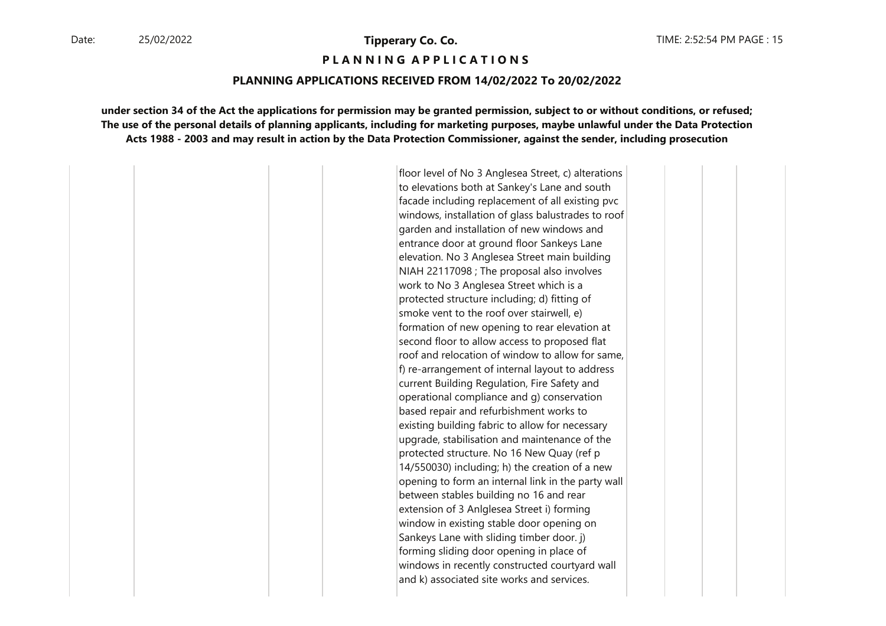#### **P L A N N I N G A P P L I C A T I O N S**

#### **PLANNING APPLICATIONS RECEIVED FROM 14/02/2022 To 20/02/2022**

**under section 34 of the Act the applications for permission may be granted permission, subject to or without conditions, or refused;The use of the personal details of planning applicants, including for marketing purposes, maybe unlawful under the Data ProtectionActs 1988 - 2003 and may result in action by the Data Protection Commissioner, against the sender, including prosecution**

> floor level of No 3 Anglesea Street, c) alterations to elevations both at Sankey's Lane and south facade including replacement of all existing pvc windows, installation of glass balustrades to roof garden and installation of new windows and entrance door at ground floor Sankeys Lane elevation. No 3 Anglesea Street main building NIAH 22117098 ; The proposal also involves work to No 3 Anglesea Street which is a protected structure including; d) fitting of smoke vent to the roof over stairwell, e) formation of new opening to rear elevation at second floor to allow access to proposed flat roof and relocation of window to allow for same, f) re-arrangement of internal layout to address current Building Regulation, Fire Safety and operational compliance and g) conservation based repair and refurbishment works to existing building fabric to allow for necessary upgrade, stabilisation and maintenance of the protected structure. No 16 New Quay (ref p 14/550030) including; h) the creation of a new opening to form an internal link in the party wall between stables building no 16 and rear extension of 3 Anlglesea Street i) forming window in existing stable door opening on Sankeys Lane with sliding timber door. j) forming sliding door opening in place of windows in recently constructed courtyard wall and k) associated site works and services.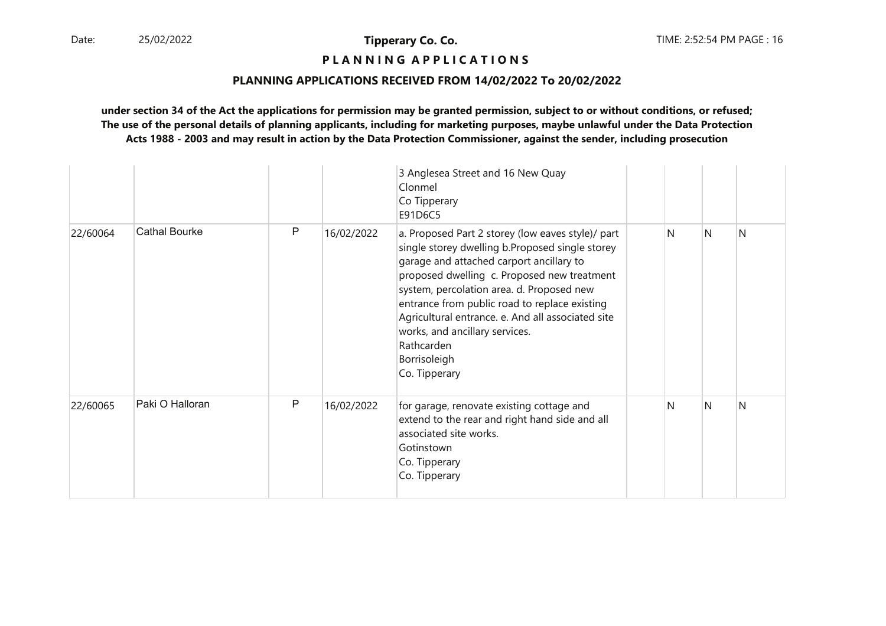# **P L A N N I N G A P P L I C A T I O N S**

### **PLANNING APPLICATIONS RECEIVED FROM 14/02/2022 To 20/02/2022**

|          |                      |              |            | 3 Anglesea Street and 16 New Quay<br>Clonmel<br>Co Tipperary<br>E91D6C5                                                                                                                                                                                                                                                                                                                                                             |   |   |              |
|----------|----------------------|--------------|------------|-------------------------------------------------------------------------------------------------------------------------------------------------------------------------------------------------------------------------------------------------------------------------------------------------------------------------------------------------------------------------------------------------------------------------------------|---|---|--------------|
| 22/60064 | <b>Cathal Bourke</b> | $\mathsf{P}$ | 16/02/2022 | a. Proposed Part 2 storey (low eaves style)/ part<br>single storey dwelling b.Proposed single storey<br>garage and attached carport ancillary to<br>proposed dwelling c. Proposed new treatment<br>system, percolation area. d. Proposed new<br>entrance from public road to replace existing<br>Agricultural entrance. e. And all associated site<br>works, and ancillary services.<br>Rathcarden<br>Borrisoleigh<br>Co. Tipperary | N | N | <sup>N</sup> |
| 22/60065 | Paki O Halloran      | P            | 16/02/2022 | for garage, renovate existing cottage and<br>extend to the rear and right hand side and all<br>associated site works.<br>Gotinstown<br>Co. Tipperary<br>Co. Tipperary                                                                                                                                                                                                                                                               | N | N | <sup>N</sup> |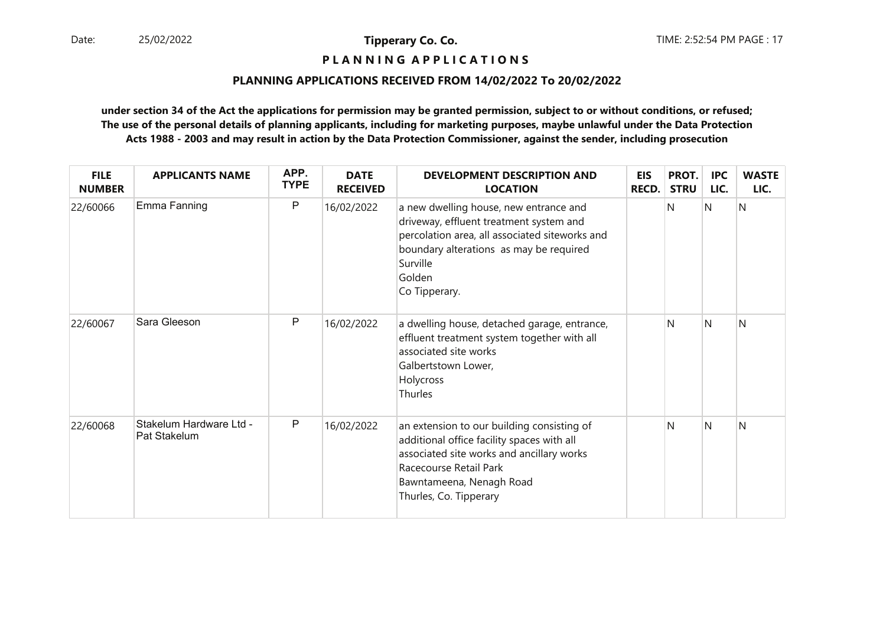# **P L A N N I N G A P P L I C A T I O N S**

### **PLANNING APPLICATIONS RECEIVED FROM 14/02/2022 To 20/02/2022**

| <b>FILE</b><br><b>NUMBER</b> | <b>APPLICANTS NAME</b>                  | APP.<br><b>TYPE</b> | <b>DATE</b><br><b>RECEIVED</b> | <b>DEVELOPMENT DESCRIPTION AND</b><br><b>LOCATION</b>                                                                                                                                                                 | <b>EIS</b><br>RECD. | PROT.<br><b>STRU</b> | <b>IPC</b><br>LIC. | <b>WASTE</b><br>LIC. |
|------------------------------|-----------------------------------------|---------------------|--------------------------------|-----------------------------------------------------------------------------------------------------------------------------------------------------------------------------------------------------------------------|---------------------|----------------------|--------------------|----------------------|
| 22/60066                     | Emma Fanning                            | P                   | 16/02/2022                     | a new dwelling house, new entrance and<br>driveway, effluent treatment system and<br>percolation area, all associated siteworks and<br>boundary alterations as may be required<br>Surville<br>Golden<br>Co Tipperary. |                     | N                    | N                  | N                    |
| 22/60067                     | Sara Gleeson                            | P                   | 16/02/2022                     | a dwelling house, detached garage, entrance,<br>effluent treatment system together with all<br>associated site works<br>Galbertstown Lower,<br>Holycross<br>Thurles                                                   |                     | N                    | N                  | N                    |
| 22/60068                     | Stakelum Hardware Ltd -<br>Pat Stakelum | P                   | 16/02/2022                     | an extension to our building consisting of<br>additional office facility spaces with all<br>associated site works and ancillary works<br>Racecourse Retail Park<br>Bawntameena, Nenagh Road<br>Thurles, Co. Tipperary |                     | N                    | N                  | N                    |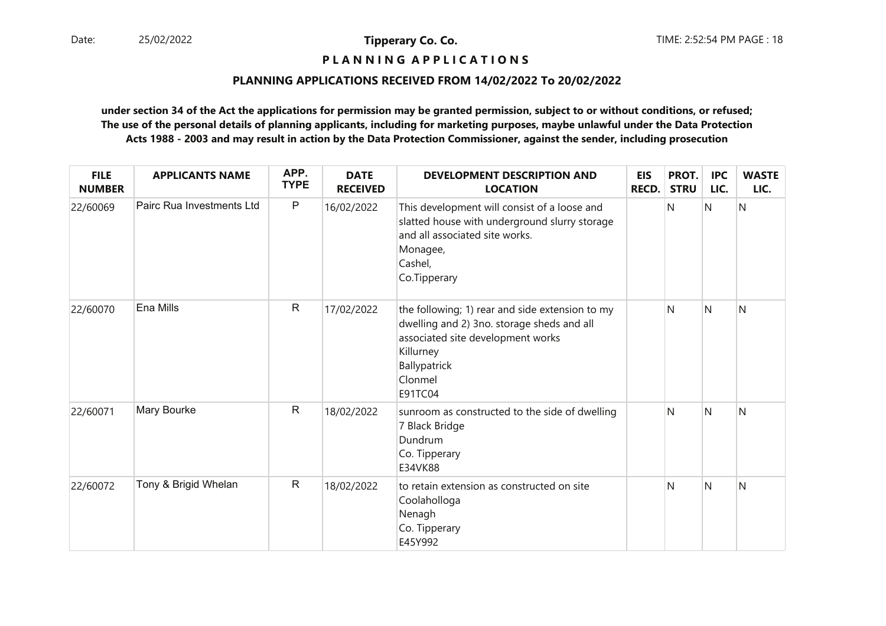# **P L A N N I N G A P P L I C A T I O N S**

### **PLANNING APPLICATIONS RECEIVED FROM 14/02/2022 To 20/02/2022**

| <b>FILE</b><br><b>NUMBER</b> | <b>APPLICANTS NAME</b>    | APP.<br><b>TYPE</b> | <b>DATE</b><br><b>RECEIVED</b> | <b>DEVELOPMENT DESCRIPTION AND</b><br><b>LOCATION</b>                                                                                                                                 | <b>EIS</b><br>RECD. | PROT.<br><b>STRU</b> | <b>IPC</b><br>LIC. | <b>WASTE</b><br>LIC. |
|------------------------------|---------------------------|---------------------|--------------------------------|---------------------------------------------------------------------------------------------------------------------------------------------------------------------------------------|---------------------|----------------------|--------------------|----------------------|
| 22/60069                     | Pairc Rua Investments Ltd | P                   | 16/02/2022                     | This development will consist of a loose and<br>slatted house with underground slurry storage<br>and all associated site works.<br>Monagee,<br>Cashel,<br>Co.Tipperary                |                     | N                    | Ν                  | N                    |
| 22/60070                     | Ena Mills                 | $\mathsf{R}$        | 17/02/2022                     | the following; 1) rear and side extension to my<br>dwelling and 2) 3no. storage sheds and all<br>associated site development works<br>Killurney<br>Ballypatrick<br>Clonmel<br>E91TC04 |                     | N                    | N                  | N                    |
| 22/60071                     | Mary Bourke               | $\mathsf{R}$        | 18/02/2022                     | sunroom as constructed to the side of dwelling<br>7 Black Bridge<br>Dundrum<br>Co. Tipperary<br>E34VK88                                                                               |                     | N                    | N                  | N                    |
| 22/60072                     | Tony & Brigid Whelan      | $\mathsf{R}$        | 18/02/2022                     | to retain extension as constructed on site<br>Coolaholloga<br>Nenagh<br>Co. Tipperary<br>E45Y992                                                                                      |                     | N                    | N                  | N                    |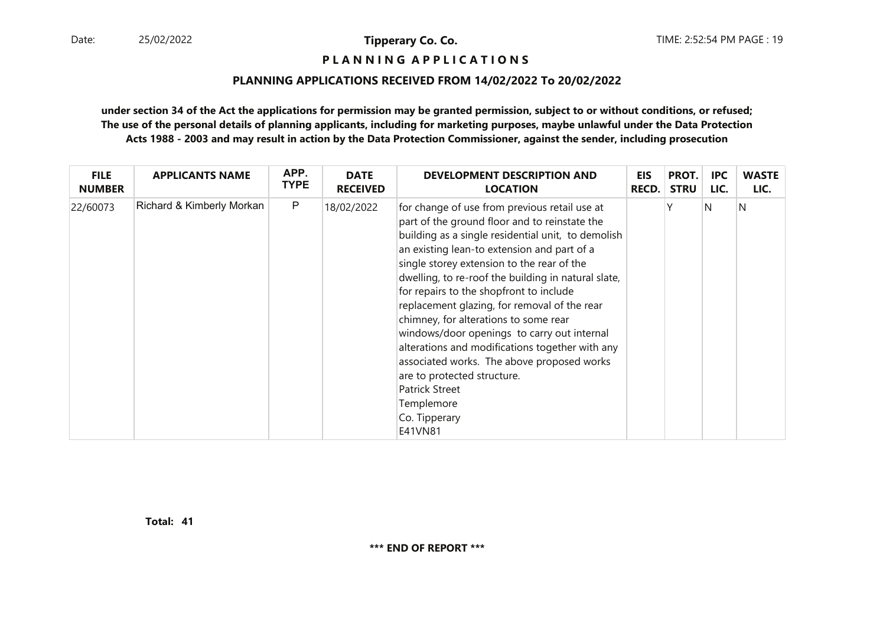**P L A N N I N G A P P L I C A T I O N S** 

#### **PLANNING APPLICATIONS RECEIVED FROM 14/02/2022 To 20/02/2022**

**under section 34 of the Act the applications for permission may be granted permission, subject to or without conditions, or refused; The use of the personal details of planning applicants, including for marketing purposes, maybe unlawful under the Data ProtectionActs 1988 - 2003 and may result in action by the Data Protection Commissioner, against the sender, including prosecution**

| <b>FILE</b>   | <b>APPLICANTS NAME</b>    | APP.         | <b>DATE</b>     | <b>DEVELOPMENT DESCRIPTION AND</b>                                                                                                                                                                                                                                                                                                                                                                                                                                                                                                                                                                                                                                                             | <b>EIS</b>   | PROT.       | IPC. | <b>WASTE</b> |
|---------------|---------------------------|--------------|-----------------|------------------------------------------------------------------------------------------------------------------------------------------------------------------------------------------------------------------------------------------------------------------------------------------------------------------------------------------------------------------------------------------------------------------------------------------------------------------------------------------------------------------------------------------------------------------------------------------------------------------------------------------------------------------------------------------------|--------------|-------------|------|--------------|
| <b>NUMBER</b> |                           | <b>TYPE</b>  | <b>RECEIVED</b> | <b>LOCATION</b>                                                                                                                                                                                                                                                                                                                                                                                                                                                                                                                                                                                                                                                                                | <b>RECD.</b> | <b>STRU</b> | LIC. | LIC.         |
| 22/60073      | Richard & Kimberly Morkan | $\mathsf{P}$ | 18/02/2022      | for change of use from previous retail use at<br>part of the ground floor and to reinstate the<br>building as a single residential unit, to demolish<br>an existing lean-to extension and part of a<br>single storey extension to the rear of the<br>dwelling, to re-roof the building in natural slate,<br>for repairs to the shopfront to include<br>replacement glazing, for removal of the rear<br>chimney, for alterations to some rear<br>windows/door openings to carry out internal<br>alterations and modifications together with any<br>associated works. The above proposed works<br>are to protected structure.<br><b>Patrick Street</b><br>Templemore<br>Co. Tipperary<br>E41VN81 |              |             | N    | N            |

**41Total:**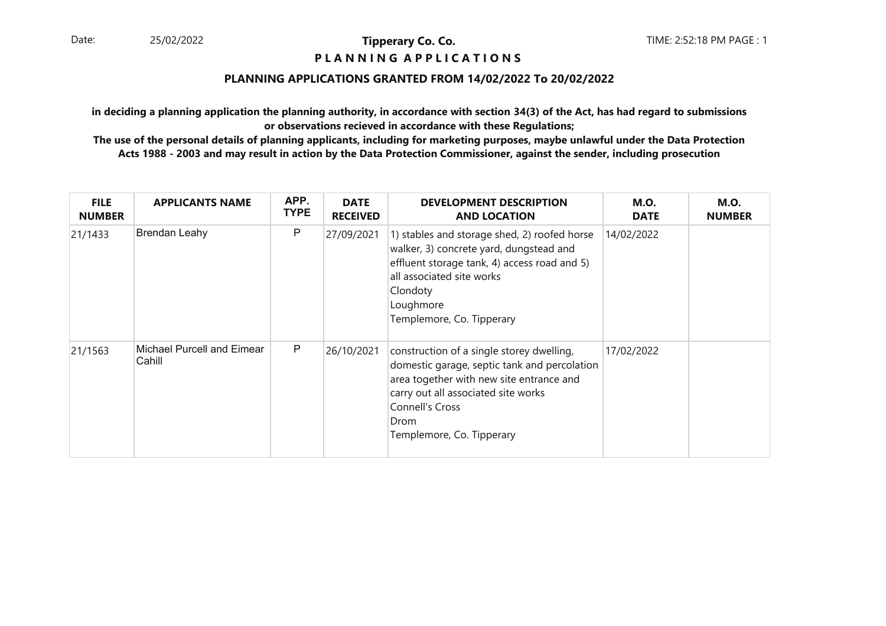### **P L A N N I N G A P P L I C A T I O N S**

### **PLANNING APPLICATIONS GRANTED FROM 14/02/2022 To 20/02/2022**

**in deciding a planning application the planning authority, in accordance with section 34(3) of the Act, has had regard to submissionsor observations recieved in accordance with these Regulations;**

| <b>FILE</b><br><b>NUMBER</b> | <b>APPLICANTS NAME</b>               | APP.<br><b>TYPE</b> | <b>DATE</b><br><b>RECEIVED</b> | <b>DEVELOPMENT DESCRIPTION</b><br><b>AND LOCATION</b>                                                                                                                                                                                | <b>M.O.</b><br><b>DATE</b> | <b>M.O.</b><br><b>NUMBER</b> |
|------------------------------|--------------------------------------|---------------------|--------------------------------|--------------------------------------------------------------------------------------------------------------------------------------------------------------------------------------------------------------------------------------|----------------------------|------------------------------|
| 21/1433                      | <b>Brendan Leahy</b>                 | P                   | 27/09/2021                     | 1) stables and storage shed, 2) roofed horse<br>walker, 3) concrete yard, dungstead and<br>effluent storage tank, 4) access road and 5)<br>all associated site works<br>Clondoty<br>Loughmore<br>Templemore, Co. Tipperary           | 14/02/2022                 |                              |
| 21/1563                      | Michael Purcell and Eimear<br>Cahill | P                   | 26/10/2021                     | construction of a single storey dwelling,<br>domestic garage, septic tank and percolation<br>area together with new site entrance and<br>carry out all associated site works<br>Connell's Cross<br>Drom<br>Templemore, Co. Tipperary | 17/02/2022                 |                              |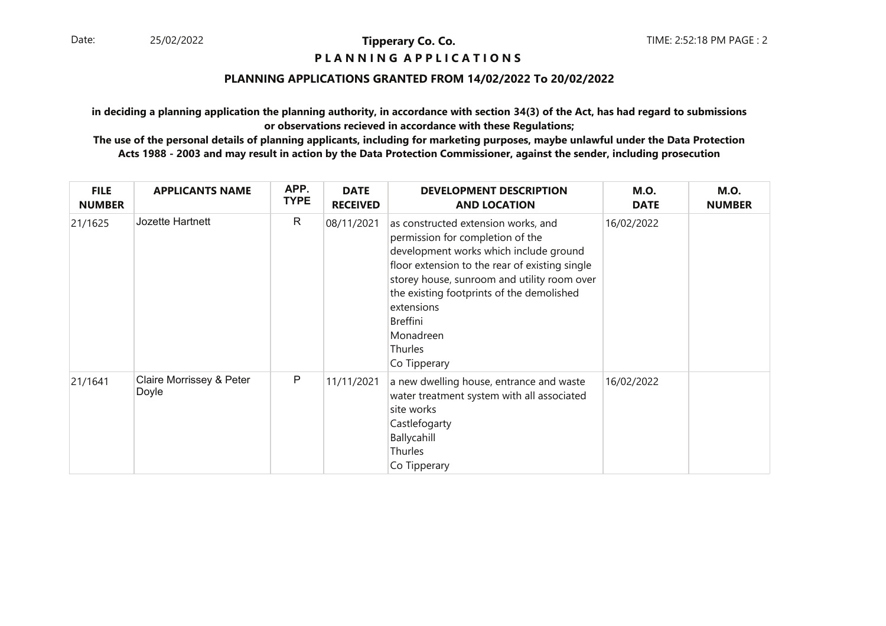### **P L A N N I N G A P P L I C A T I O N S**

### **PLANNING APPLICATIONS GRANTED FROM 14/02/2022 To 20/02/2022**

**in deciding a planning application the planning authority, in accordance with section 34(3) of the Act, has had regard to submissionsor observations recieved in accordance with these Regulations;**

| <b>FILE</b><br><b>NUMBER</b> | <b>APPLICANTS NAME</b>            | APP.<br><b>TYPE</b> | <b>DATE</b><br><b>RECEIVED</b> | <b>DEVELOPMENT DESCRIPTION</b><br><b>AND LOCATION</b>                                                                                                                                                                                                                                                                             | <b>M.O.</b><br><b>DATE</b> | <b>M.O.</b><br><b>NUMBER</b> |
|------------------------------|-----------------------------------|---------------------|--------------------------------|-----------------------------------------------------------------------------------------------------------------------------------------------------------------------------------------------------------------------------------------------------------------------------------------------------------------------------------|----------------------------|------------------------------|
| 21/1625                      | Jozette Hartnett                  | R                   | 08/11/2021                     | as constructed extension works, and<br>permission for completion of the<br>development works which include ground<br>floor extension to the rear of existing single<br>storey house, sunroom and utility room over<br>the existing footprints of the demolished<br>extensions<br>Breffini<br>Monadreen<br>Thurles<br>Co Tipperary | 16/02/2022                 |                              |
| 21/1641                      | Claire Morrissey & Peter<br>Doyle | P                   | 11/11/2021                     | a new dwelling house, entrance and waste<br>water treatment system with all associated<br>site works<br>Castlefogarty<br>Ballycahill<br>Thurles<br>Co Tipperary                                                                                                                                                                   | 16/02/2022                 |                              |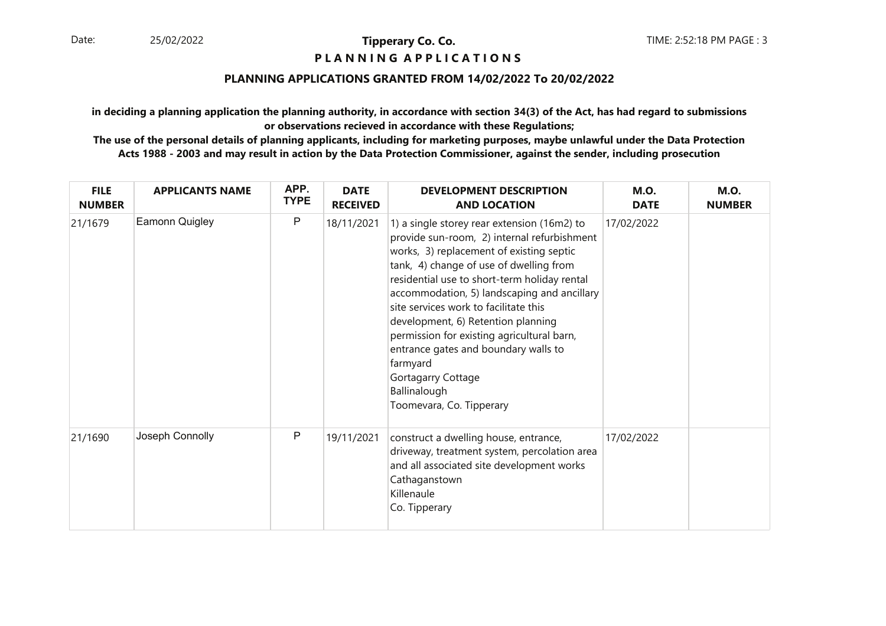### **P L A N N I N G A P P L I C A T I O N S**

### **PLANNING APPLICATIONS GRANTED FROM 14/02/2022 To 20/02/2022**

**in deciding a planning application the planning authority, in accordance with section 34(3) of the Act, has had regard to submissionsor observations recieved in accordance with these Regulations;**

| <b>FILE</b><br><b>NUMBER</b> | <b>APPLICANTS NAME</b> | APP.<br><b>TYPE</b> | <b>DATE</b><br><b>RECEIVED</b> | <b>DEVELOPMENT DESCRIPTION</b><br><b>AND LOCATION</b>                                                                                                                                                                                                                                                                                                                                                                                                                                                                               | <b>M.O.</b><br><b>DATE</b> | <b>M.O.</b><br><b>NUMBER</b> |
|------------------------------|------------------------|---------------------|--------------------------------|-------------------------------------------------------------------------------------------------------------------------------------------------------------------------------------------------------------------------------------------------------------------------------------------------------------------------------------------------------------------------------------------------------------------------------------------------------------------------------------------------------------------------------------|----------------------------|------------------------------|
| 21/1679                      | Eamonn Quigley         | P                   | 18/11/2021                     | 1) a single storey rear extension (16m2) to<br>provide sun-room, 2) internal refurbishment<br>works, 3) replacement of existing septic<br>tank, 4) change of use of dwelling from<br>residential use to short-term holiday rental<br>accommodation, 5) landscaping and ancillary<br>site services work to facilitate this<br>development, 6) Retention planning<br>permission for existing agricultural barn,<br>entrance gates and boundary walls to<br>farmyard<br>Gortagarry Cottage<br>Ballinalough<br>Toomevara, Co. Tipperary | 17/02/2022                 |                              |
| 21/1690                      | Joseph Connolly        | P                   | 19/11/2021                     | construct a dwelling house, entrance,<br>driveway, treatment system, percolation area<br>and all associated site development works<br>Cathaganstown<br>Killenaule<br>Co. Tipperary                                                                                                                                                                                                                                                                                                                                                  | 17/02/2022                 |                              |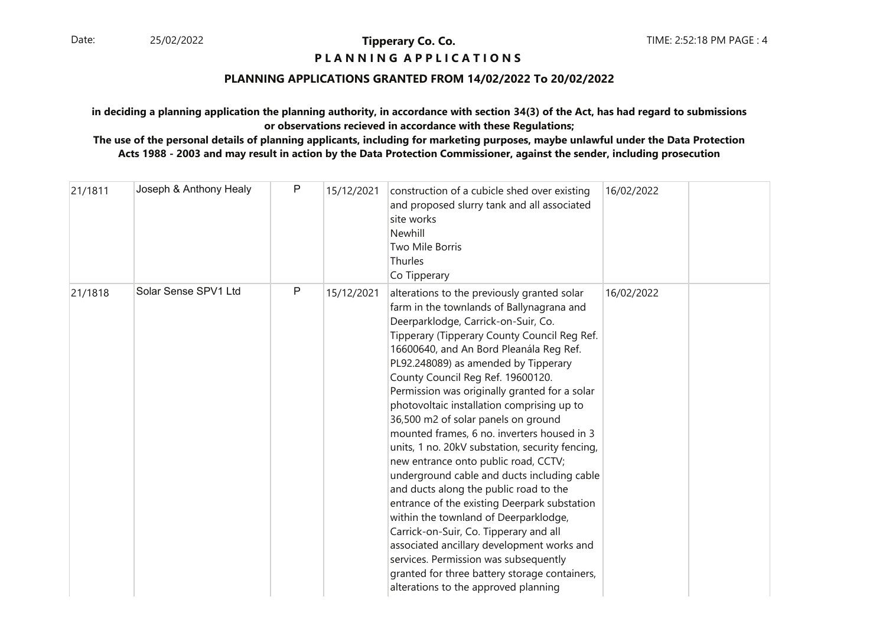## **P L A N N I N G A P P L I C A T I O N S**

### **PLANNING APPLICATIONS GRANTED FROM 14/02/2022 To 20/02/2022**

### **in deciding a planning application the planning authority, in accordance with section 34(3) of the Act, has had regard to submissionsor observations recieved in accordance with these Regulations;**

| 21/1811 | Joseph & Anthony Healy | P | 15/12/2021 | construction of a cubicle shed over existing<br>and proposed slurry tank and all associated<br>site works<br>Newhill<br>Two Mile Borris<br>Thurles<br>Co Tipperary                                                                                                                                                                                                                                                                                                                                                                                                                                                                                                                                                                                                                                                                                                                                                                                                                                  | 16/02/2022 |  |
|---------|------------------------|---|------------|-----------------------------------------------------------------------------------------------------------------------------------------------------------------------------------------------------------------------------------------------------------------------------------------------------------------------------------------------------------------------------------------------------------------------------------------------------------------------------------------------------------------------------------------------------------------------------------------------------------------------------------------------------------------------------------------------------------------------------------------------------------------------------------------------------------------------------------------------------------------------------------------------------------------------------------------------------------------------------------------------------|------------|--|
| 21/1818 | Solar Sense SPV1 Ltd   | P | 15/12/2021 | alterations to the previously granted solar<br>farm in the townlands of Ballynagrana and<br>Deerparklodge, Carrick-on-Suir, Co.<br>Tipperary (Tipperary County Council Reg Ref.<br>16600640, and An Bord Pleanála Reg Ref.<br>PL92.248089) as amended by Tipperary<br>County Council Reg Ref. 19600120.<br>Permission was originally granted for a solar<br>photovoltaic installation comprising up to<br>36,500 m2 of solar panels on ground<br>mounted frames, 6 no. inverters housed in 3<br>units, 1 no. 20kV substation, security fencing,<br>new entrance onto public road, CCTV;<br>underground cable and ducts including cable<br>and ducts along the public road to the<br>entrance of the existing Deerpark substation<br>within the townland of Deerparklodge,<br>Carrick-on-Suir, Co. Tipperary and all<br>associated ancillary development works and<br>services. Permission was subsequently<br>granted for three battery storage containers,<br>alterations to the approved planning | 16/02/2022 |  |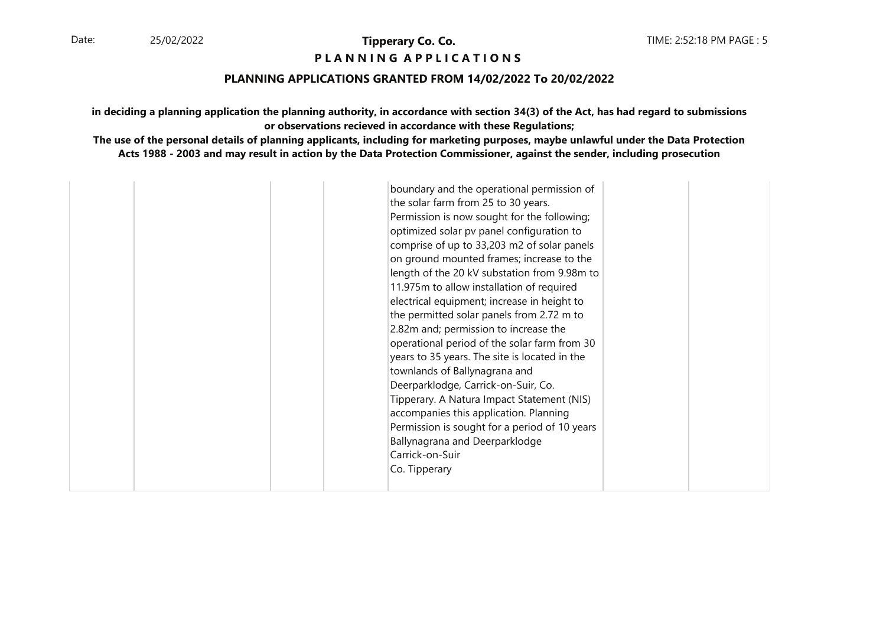### **P L A N N I N G A P P L I C A T I O N S**

### **PLANNING APPLICATIONS GRANTED FROM 14/02/2022 To 20/02/2022**

**in deciding a planning application the planning authority, in accordance with section 34(3) of the Act, has had regard to submissionsor observations recieved in accordance with these Regulations;**

|  | boundary and the operational permission of<br>the solar farm from 25 to 30 years.<br>Permission is now sought for the following;<br>optimized solar pv panel configuration to<br>comprise of up to 33,203 m2 of solar panels<br>on ground mounted frames; increase to the<br>length of the 20 kV substation from 9.98m to<br>11.975m to allow installation of required<br>electrical equipment; increase in height to<br>the permitted solar panels from 2.72 m to<br>2.82m and; permission to increase the<br>operational period of the solar farm from 30<br>years to 35 years. The site is located in the<br>townlands of Ballynagrana and<br>Deerparklodge, Carrick-on-Suir, Co.<br>Tipperary. A Natura Impact Statement (NIS)<br>accompanies this application. Planning<br>Permission is sought for a period of 10 years<br>Ballynagrana and Deerparklodge<br>Carrick-on-Suir<br>Co. Tipperary |  |
|--|-----------------------------------------------------------------------------------------------------------------------------------------------------------------------------------------------------------------------------------------------------------------------------------------------------------------------------------------------------------------------------------------------------------------------------------------------------------------------------------------------------------------------------------------------------------------------------------------------------------------------------------------------------------------------------------------------------------------------------------------------------------------------------------------------------------------------------------------------------------------------------------------------------|--|
|  |                                                                                                                                                                                                                                                                                                                                                                                                                                                                                                                                                                                                                                                                                                                                                                                                                                                                                                     |  |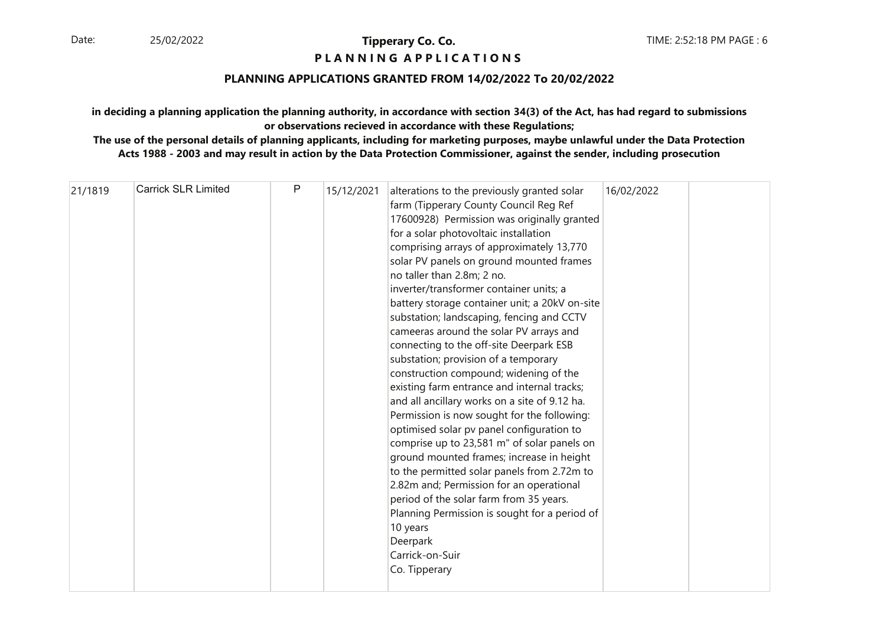### **P L A N N I N G A P P L I C A T I O N S**

### **PLANNING APPLICATIONS GRANTED FROM 14/02/2022 To 20/02/2022**

### **in deciding a planning application the planning authority, in accordance with section 34(3) of the Act, has had regard to submissionsor observations recieved in accordance with these Regulations;**

| 21/1819 | <b>Carrick SLR Limited</b> | P | 15/12/2021 | alterations to the previously granted solar<br>farm (Tipperary County Council Reg Ref<br>17600928) Permission was originally granted<br>for a solar photovoltaic installation<br>comprising arrays of approximately 13,770<br>solar PV panels on ground mounted frames<br>no taller than 2.8m; 2 no.<br>inverter/transformer container units; a<br>battery storage container unit; a 20kV on-site<br>substation; landscaping, fencing and CCTV<br>cameeras around the solar PV arrays and<br>connecting to the off-site Deerpark ESB<br>substation; provision of a temporary<br>construction compound; widening of the<br>existing farm entrance and internal tracks;<br>and all ancillary works on a site of 9.12 ha.<br>Permission is now sought for the following:<br>optimised solar pv panel configuration to<br>comprise up to 23,581 m" of solar panels on<br>ground mounted frames; increase in height<br>to the permitted solar panels from 2.72m to<br>2.82m and; Permission for an operational<br>period of the solar farm from 35 years.<br>Planning Permission is sought for a period of<br>10 years<br>Deerpark<br>Carrick-on-Suir<br>Co. Tipperary | 16/02/2022 |  |
|---------|----------------------------|---|------------|-------------------------------------------------------------------------------------------------------------------------------------------------------------------------------------------------------------------------------------------------------------------------------------------------------------------------------------------------------------------------------------------------------------------------------------------------------------------------------------------------------------------------------------------------------------------------------------------------------------------------------------------------------------------------------------------------------------------------------------------------------------------------------------------------------------------------------------------------------------------------------------------------------------------------------------------------------------------------------------------------------------------------------------------------------------------------------------------------------------------------------------------------------------------|------------|--|
|---------|----------------------------|---|------------|-------------------------------------------------------------------------------------------------------------------------------------------------------------------------------------------------------------------------------------------------------------------------------------------------------------------------------------------------------------------------------------------------------------------------------------------------------------------------------------------------------------------------------------------------------------------------------------------------------------------------------------------------------------------------------------------------------------------------------------------------------------------------------------------------------------------------------------------------------------------------------------------------------------------------------------------------------------------------------------------------------------------------------------------------------------------------------------------------------------------------------------------------------------------|------------|--|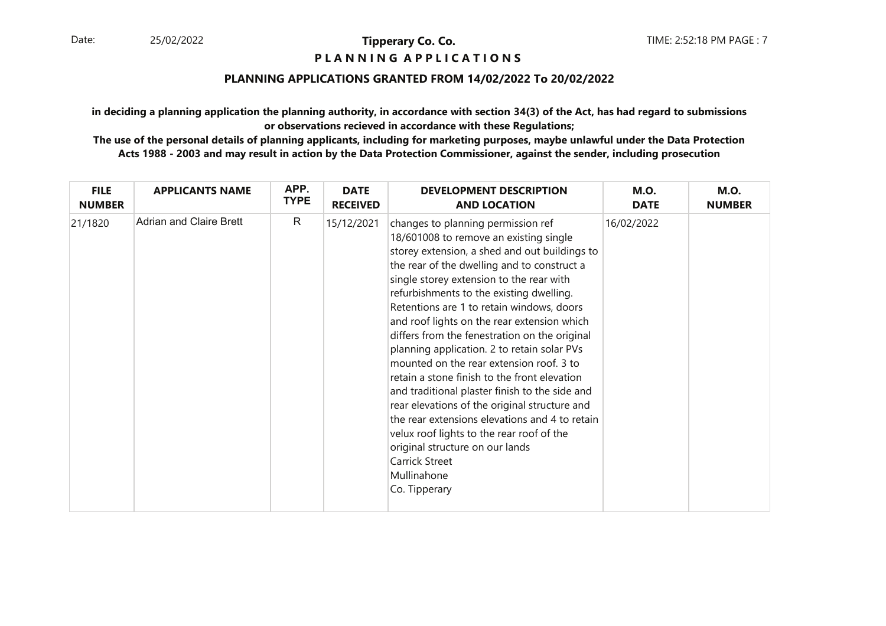### **P L A N N I N G A P P L I C A T I O N S**

### **PLANNING APPLICATIONS GRANTED FROM 14/02/2022 To 20/02/2022**

**in deciding a planning application the planning authority, in accordance with section 34(3) of the Act, has had regard to submissionsor observations recieved in accordance with these Regulations;**

| <b>FILE</b>   | <b>APPLICANTS NAME</b>  | APP.         | <b>DATE</b>     | <b>DEVELOPMENT DESCRIPTION</b>                                                                                                                                                                                                                                                                                                                                                                                                                                                                                                                                                                                                                                                                                                                                                                                                                      | <b>M.O.</b> | <b>M.O.</b>   |
|---------------|-------------------------|--------------|-----------------|-----------------------------------------------------------------------------------------------------------------------------------------------------------------------------------------------------------------------------------------------------------------------------------------------------------------------------------------------------------------------------------------------------------------------------------------------------------------------------------------------------------------------------------------------------------------------------------------------------------------------------------------------------------------------------------------------------------------------------------------------------------------------------------------------------------------------------------------------------|-------------|---------------|
| <b>NUMBER</b> |                         | <b>TYPE</b>  | <b>RECEIVED</b> | <b>AND LOCATION</b>                                                                                                                                                                                                                                                                                                                                                                                                                                                                                                                                                                                                                                                                                                                                                                                                                                 | <b>DATE</b> | <b>NUMBER</b> |
| 21/1820       | Adrian and Claire Brett | $\mathsf{R}$ | 15/12/2021      | changes to planning permission ref<br>18/601008 to remove an existing single<br>storey extension, a shed and out buildings to<br>the rear of the dwelling and to construct a<br>single storey extension to the rear with<br>refurbishments to the existing dwelling.<br>Retentions are 1 to retain windows, doors<br>and roof lights on the rear extension which<br>differs from the fenestration on the original<br>planning application. 2 to retain solar PVs<br>mounted on the rear extension roof. 3 to<br>retain a stone finish to the front elevation<br>and traditional plaster finish to the side and<br>rear elevations of the original structure and<br>the rear extensions elevations and 4 to retain<br>velux roof lights to the rear roof of the<br>original structure on our lands<br>Carrick Street<br>Mullinahone<br>Co. Tipperary | 16/02/2022  |               |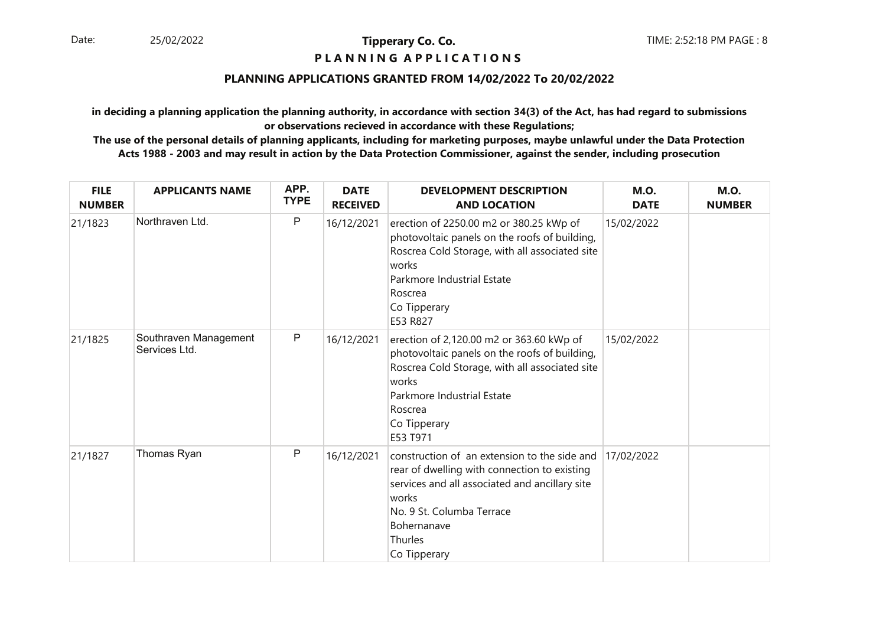### **P L A N N I N G A P P L I C A T I O N S**

### **PLANNING APPLICATIONS GRANTED FROM 14/02/2022 To 20/02/2022**

**in deciding a planning application the planning authority, in accordance with section 34(3) of the Act, has had regard to submissionsor observations recieved in accordance with these Regulations;**

| <b>FILE</b><br><b>NUMBER</b> | <b>APPLICANTS NAME</b>                 | APP.<br><b>TYPE</b> | <b>DATE</b><br><b>RECEIVED</b> | <b>DEVELOPMENT DESCRIPTION</b><br><b>AND LOCATION</b>                                                                                                                                                                          | <b>M.O.</b><br><b>DATE</b> | <b>M.O.</b><br><b>NUMBER</b> |
|------------------------------|----------------------------------------|---------------------|--------------------------------|--------------------------------------------------------------------------------------------------------------------------------------------------------------------------------------------------------------------------------|----------------------------|------------------------------|
| 21/1823                      | Northraven Ltd.                        | P                   | 16/12/2021                     | erection of 2250.00 m2 or 380.25 kWp of<br>photovoltaic panels on the roofs of building,<br>Roscrea Cold Storage, with all associated site<br>works<br>Parkmore Industrial Estate<br>Roscrea<br>Co Tipperary<br>E53 R827       | 15/02/2022                 |                              |
| 21/1825                      | Southraven Management<br>Services Ltd. | P                   | 16/12/2021                     | erection of 2,120.00 m2 or 363.60 kWp of<br>photovoltaic panels on the roofs of building,<br>Roscrea Cold Storage, with all associated site<br>works<br>Parkmore Industrial Estate<br>Roscrea<br>Co Tipperary<br>E53 T971      | 15/02/2022                 |                              |
| 21/1827                      | Thomas Ryan                            | P                   | 16/12/2021                     | construction of an extension to the side and<br>rear of dwelling with connection to existing<br>services and all associated and ancillary site<br>works<br>No. 9 St. Columba Terrace<br>Bohernanave<br>Thurles<br>Co Tipperary | 17/02/2022                 |                              |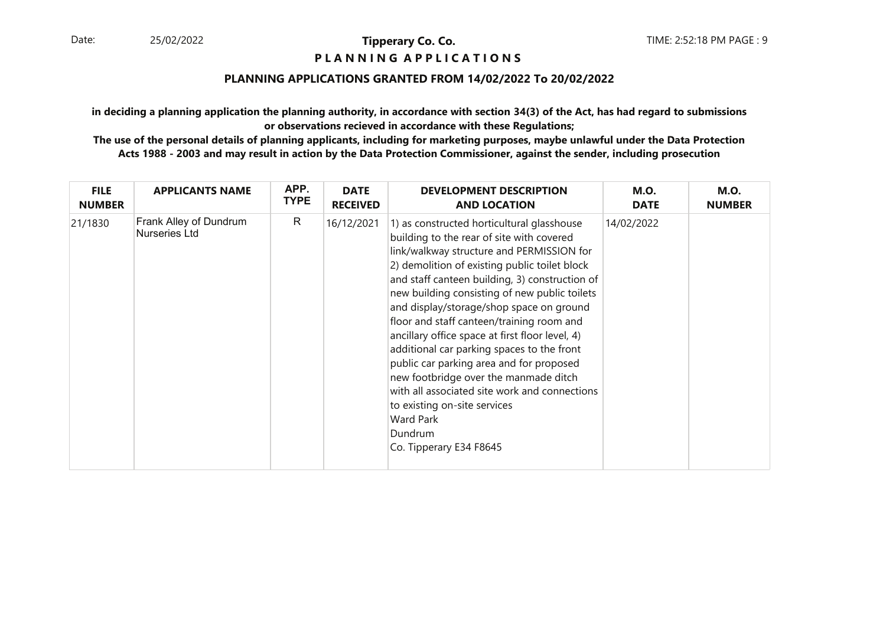### **P L A N N I N G A P P L I C A T I O N S**

### **PLANNING APPLICATIONS GRANTED FROM 14/02/2022 To 20/02/2022**

**in deciding a planning application the planning authority, in accordance with section 34(3) of the Act, has had regard to submissionsor observations recieved in accordance with these Regulations;**

| <b>FILE</b>   | <b>APPLICANTS NAME</b>                  | APP.        | <b>DATE</b>     | <b>DEVELOPMENT DESCRIPTION</b>                                                                                                                                                                                                                                                                                                                                                                                                                                                                                                                                                                                                                                                                                     | <b>M.O.</b> | <b>M.O.</b>   |
|---------------|-----------------------------------------|-------------|-----------------|--------------------------------------------------------------------------------------------------------------------------------------------------------------------------------------------------------------------------------------------------------------------------------------------------------------------------------------------------------------------------------------------------------------------------------------------------------------------------------------------------------------------------------------------------------------------------------------------------------------------------------------------------------------------------------------------------------------------|-------------|---------------|
| <b>NUMBER</b> |                                         | <b>TYPE</b> | <b>RECEIVED</b> | <b>AND LOCATION</b>                                                                                                                                                                                                                                                                                                                                                                                                                                                                                                                                                                                                                                                                                                | <b>DATE</b> | <b>NUMBER</b> |
| 21/1830       | Frank Alley of Dundrum<br>Nurseries Ltd | R           | 16/12/2021      | 1) as constructed horticultural glasshouse<br>building to the rear of site with covered<br>link/walkway structure and PERMISSION for<br>2) demolition of existing public toilet block<br>and staff canteen building, 3) construction of<br>new building consisting of new public toilets<br>and display/storage/shop space on ground<br>floor and staff canteen/training room and<br>ancillary office space at first floor level, 4)<br>additional car parking spaces to the front<br>public car parking area and for proposed<br>new footbridge over the manmade ditch<br>with all associated site work and connections<br>to existing on-site services<br><b>Ward Park</b><br>Dundrum<br>Co. Tipperary E34 F8645 | 14/02/2022  |               |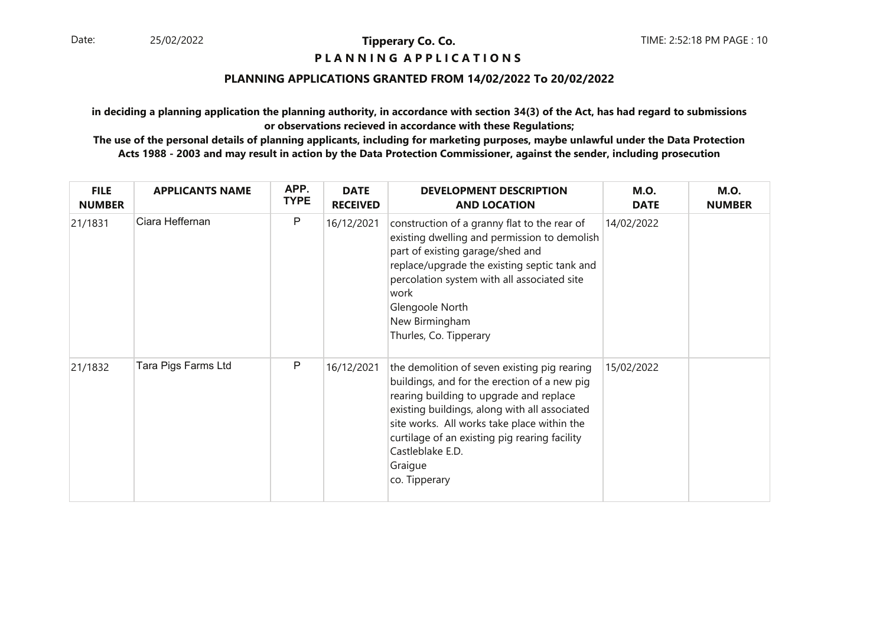### **P L A N N I N G A P P L I C A T I O N S**

### **PLANNING APPLICATIONS GRANTED FROM 14/02/2022 To 20/02/2022**

**in deciding a planning application the planning authority, in accordance with section 34(3) of the Act, has had regard to submissionsor observations recieved in accordance with these Regulations;**

| <b>FILE</b><br><b>NUMBER</b> | <b>APPLICANTS NAME</b> | APP.<br><b>TYPE</b> | <b>DATE</b><br><b>RECEIVED</b> | <b>DEVELOPMENT DESCRIPTION</b><br><b>AND LOCATION</b>                                                                                                                                                                                                                                                                                    | <b>M.O.</b><br><b>DATE</b> | <b>M.O.</b><br><b>NUMBER</b> |
|------------------------------|------------------------|---------------------|--------------------------------|------------------------------------------------------------------------------------------------------------------------------------------------------------------------------------------------------------------------------------------------------------------------------------------------------------------------------------------|----------------------------|------------------------------|
| 21/1831                      | Ciara Heffernan        | P                   | 16/12/2021                     | construction of a granny flat to the rear of<br>existing dwelling and permission to demolish<br>part of existing garage/shed and<br>replace/upgrade the existing septic tank and<br>percolation system with all associated site<br>work<br>Glengoole North<br>New Birmingham<br>Thurles, Co. Tipperary                                   | 14/02/2022                 |                              |
| 21/1832                      | Tara Pigs Farms Ltd    | P                   | 16/12/2021                     | the demolition of seven existing pig rearing<br>buildings, and for the erection of a new pig<br>rearing building to upgrade and replace<br>existing buildings, along with all associated<br>site works. All works take place within the<br>curtilage of an existing pig rearing facility<br>Castleblake E.D.<br>Graigue<br>co. Tipperary | 15/02/2022                 |                              |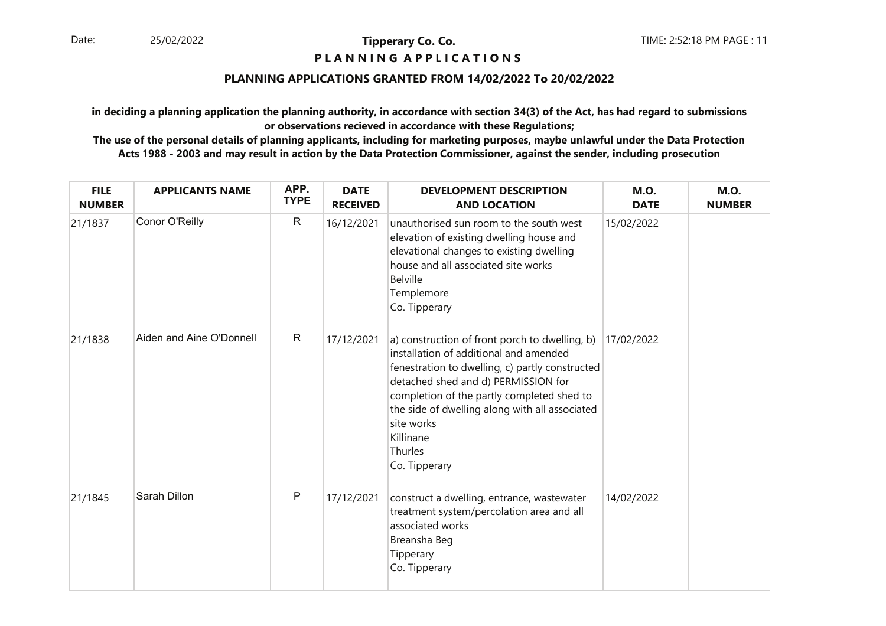### **P L A N N I N G A P P L I C A T I O N S**

### **PLANNING APPLICATIONS GRANTED FROM 14/02/2022 To 20/02/2022**

**in deciding a planning application the planning authority, in accordance with section 34(3) of the Act, has had regard to submissionsor observations recieved in accordance with these Regulations;**

| <b>FILE</b><br><b>NUMBER</b> | <b>APPLICANTS NAME</b>   | APP.<br><b>TYPE</b> | <b>DATE</b><br><b>RECEIVED</b> | <b>DEVELOPMENT DESCRIPTION</b><br><b>AND LOCATION</b>                                                                                                                                                                                                                                                                                     | <b>M.O.</b><br><b>DATE</b> | <b>M.O.</b><br><b>NUMBER</b> |
|------------------------------|--------------------------|---------------------|--------------------------------|-------------------------------------------------------------------------------------------------------------------------------------------------------------------------------------------------------------------------------------------------------------------------------------------------------------------------------------------|----------------------------|------------------------------|
| 21/1837                      | Conor O'Reilly           | $\mathsf{R}$        | 16/12/2021                     | unauthorised sun room to the south west<br>elevation of existing dwelling house and<br>elevational changes to existing dwelling<br>house and all associated site works<br><b>Belville</b><br>Templemore<br>Co. Tipperary                                                                                                                  | 15/02/2022                 |                              |
| 21/1838                      | Aiden and Aine O'Donnell | $\mathsf{R}$        | 17/12/2021                     | a) construction of front porch to dwelling, b)<br>installation of additional and amended<br>fenestration to dwelling, c) partly constructed<br>detached shed and d) PERMISSION for<br>completion of the partly completed shed to<br>the side of dwelling along with all associated<br>site works<br>Killinane<br>Thurles<br>Co. Tipperary | 17/02/2022                 |                              |
| 21/1845                      | Sarah Dillon             | P                   | 17/12/2021                     | construct a dwelling, entrance, wastewater<br>treatment system/percolation area and all<br>associated works<br>Breansha Beg<br>Tipperary<br>Co. Tipperary                                                                                                                                                                                 | 14/02/2022                 |                              |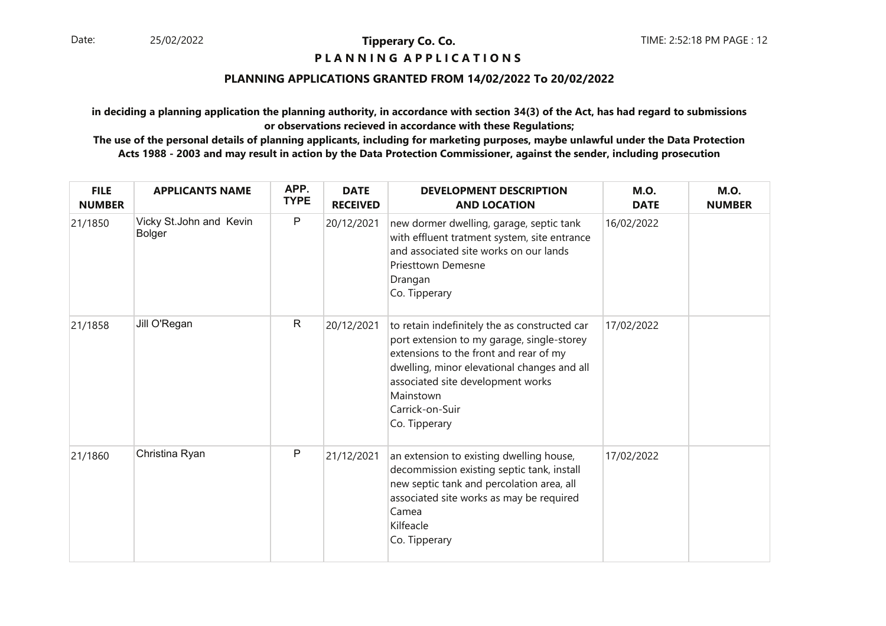### **P L A N N I N G A P P L I C A T I O N S**

### **PLANNING APPLICATIONS GRANTED FROM 14/02/2022 To 20/02/2022**

**in deciding a planning application the planning authority, in accordance with section 34(3) of the Act, has had regard to submissionsor observations recieved in accordance with these Regulations;**

| <b>FILE</b><br><b>NUMBER</b> | <b>APPLICANTS NAME</b>                   | APP.<br><b>TYPE</b> | <b>DATE</b><br><b>RECEIVED</b> | <b>DEVELOPMENT DESCRIPTION</b><br><b>AND LOCATION</b>                                                                                                                                                                                                                      | <b>M.O.</b><br><b>DATE</b> | <b>M.O.</b><br><b>NUMBER</b> |
|------------------------------|------------------------------------------|---------------------|--------------------------------|----------------------------------------------------------------------------------------------------------------------------------------------------------------------------------------------------------------------------------------------------------------------------|----------------------------|------------------------------|
| 21/1850                      | Vicky St.John and Kevin<br><b>Bolger</b> | $\mathsf P$         | 20/12/2021                     | new dormer dwelling, garage, septic tank<br>with effluent tratment system, site entrance<br>and associated site works on our lands<br><b>Priesttown Demesne</b><br>Drangan<br>Co. Tipperary                                                                                | 16/02/2022                 |                              |
| 21/1858                      | Jill O'Regan                             | $\mathsf{R}$        | 20/12/2021                     | to retain indefinitely the as constructed car<br>port extension to my garage, single-storey<br>extensions to the front and rear of my<br>dwelling, minor elevational changes and all<br>associated site development works<br>Mainstown<br>Carrick-on-Suir<br>Co. Tipperary | 17/02/2022                 |                              |
| 21/1860                      | Christina Ryan                           | $\mathsf{P}$        | 21/12/2021                     | an extension to existing dwelling house,<br>decommission existing septic tank, install<br>new septic tank and percolation area, all<br>associated site works as may be required<br>Camea<br>Kilfeacle<br>Co. Tipperary                                                     | 17/02/2022                 |                              |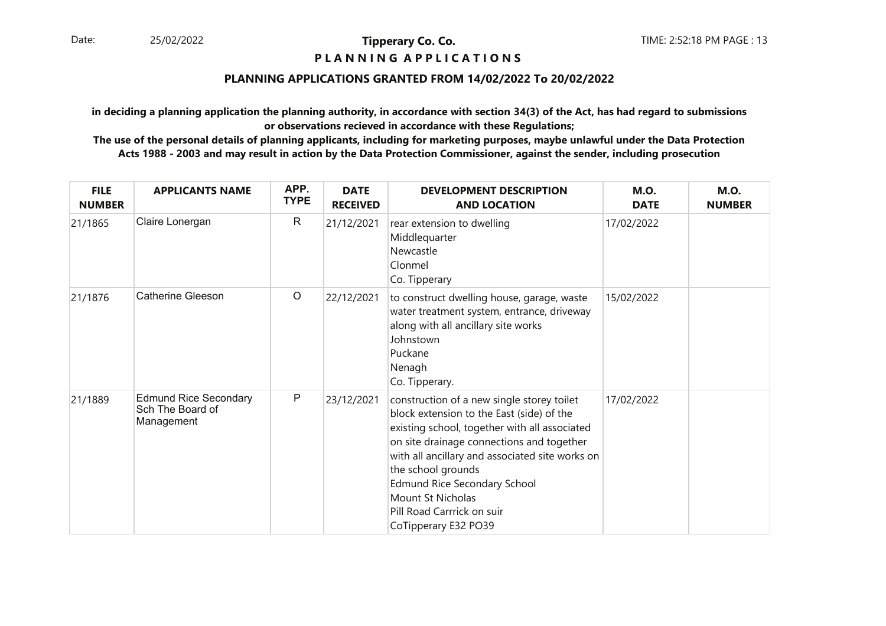### **P L A N N I N G A P P L I C A T I O N S**

### **PLANNING APPLICATIONS GRANTED FROM 14/02/2022 To 20/02/2022**

**in deciding a planning application the planning authority, in accordance with section 34(3) of the Act, has had regard to submissionsor observations recieved in accordance with these Regulations;**

| <b>FILE</b><br><b>NUMBER</b> | <b>APPLICANTS NAME</b>                                         | APP.<br><b>TYPE</b> | <b>DATE</b><br><b>RECEIVED</b> | <b>DEVELOPMENT DESCRIPTION</b><br><b>AND LOCATION</b>                                                                                                                                                                                                                                                                                                                            | <b>M.O.</b><br><b>DATE</b> | <b>M.O.</b><br><b>NUMBER</b> |
|------------------------------|----------------------------------------------------------------|---------------------|--------------------------------|----------------------------------------------------------------------------------------------------------------------------------------------------------------------------------------------------------------------------------------------------------------------------------------------------------------------------------------------------------------------------------|----------------------------|------------------------------|
| 21/1865                      | Claire Lonergan                                                | $\mathsf{R}$        | 21/12/2021                     | rear extension to dwelling<br>Middlequarter<br>Newcastle<br>Clonmel<br>Co. Tipperary                                                                                                                                                                                                                                                                                             | 17/02/2022                 |                              |
| 21/1876                      | <b>Catherine Gleeson</b>                                       | $\circ$             | 22/12/2021                     | to construct dwelling house, garage, waste<br>water treatment system, entrance, driveway<br>along with all ancillary site works<br>Johnstown<br>Puckane<br>Nenagh<br>Co. Tipperary.                                                                                                                                                                                              | 15/02/2022                 |                              |
| 21/1889                      | <b>Edmund Rice Secondary</b><br>Sch The Board of<br>Management | $\mathsf{P}$        | 23/12/2021                     | construction of a new single storey toilet<br>block extension to the East (side) of the<br>existing school, together with all associated<br>on site drainage connections and together<br>with all ancillary and associated site works on<br>the school grounds<br><b>Edmund Rice Secondary School</b><br>Mount St Nicholas<br>Pill Road Carrrick on suir<br>CoTipperary E32 PO39 | 17/02/2022                 |                              |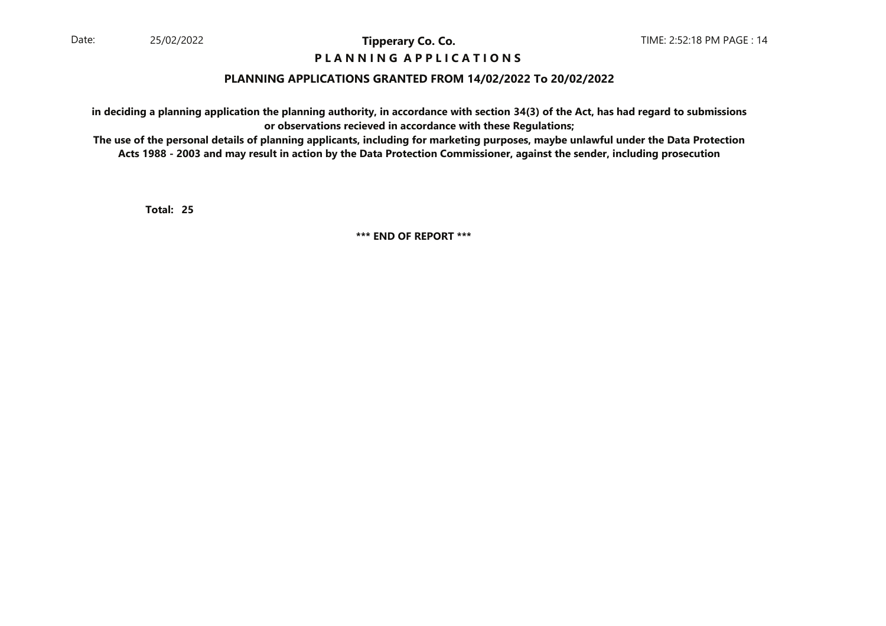### **P L A N N I N G A P P L I C A T I O N S**

### **PLANNING APPLICATIONS GRANTED FROM 14/02/2022 To 20/02/2022**

**in deciding a planning application the planning authority, in accordance with section 34(3) of the Act, has had regard to submissionsor observations recieved in accordance with these Regulations;**

 **The use of the personal details of planning applicants, including for marketing purposes, maybe unlawful under the Data ProtectionActs 1988 - 2003 and may result in action by the Data Protection Commissioner, against the sender, including prosecution**

**25Total:**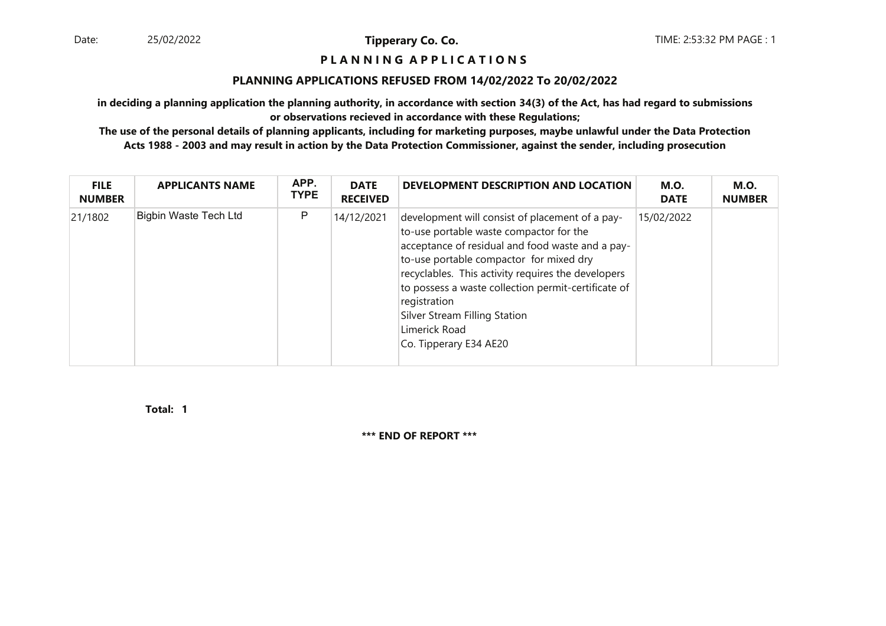#### **P L A N N I N G A P P L I C A T I O N S**

#### **PLANNING APPLICATIONS REFUSED FROM 14/02/2022 To 20/02/2022**

**in deciding a planning application the planning authority, in accordance with section 34(3) of the Act, has had regard to submissionsor observations recieved in accordance with these Regulations;**

 **The use of the personal details of planning applicants, including for marketing purposes, maybe unlawful under the Data ProtectionActs 1988 - 2003 and may result in action by the Data Protection Commissioner, against the sender, including prosecution**

| <b>FILE</b><br><b>NUMBER</b> | <b>APPLICANTS NAME</b>       | APP.<br><b>TYPE</b> | <b>DATE</b><br><b>RECEIVED</b> | DEVELOPMENT DESCRIPTION AND LOCATION                                                                                                                                                                                                                                                                                                                                                               | <b>M.O.</b><br><b>DATE</b> | <b>M.O.</b><br><b>NUMBER</b> |
|------------------------------|------------------------------|---------------------|--------------------------------|----------------------------------------------------------------------------------------------------------------------------------------------------------------------------------------------------------------------------------------------------------------------------------------------------------------------------------------------------------------------------------------------------|----------------------------|------------------------------|
| 21/1802                      | <b>Bigbin Waste Tech Ltd</b> | P                   | 14/12/2021                     | development will consist of placement of a pay-<br>to-use portable waste compactor for the<br>acceptance of residual and food waste and a pay-<br>to-use portable compactor for mixed dry<br>recyclables. This activity requires the developers<br>to possess a waste collection permit-certificate of<br>registration<br>Silver Stream Filling Station<br>Limerick Road<br>Co. Tipperary E34 AE20 | 15/02/2022                 |                              |

**1Total:**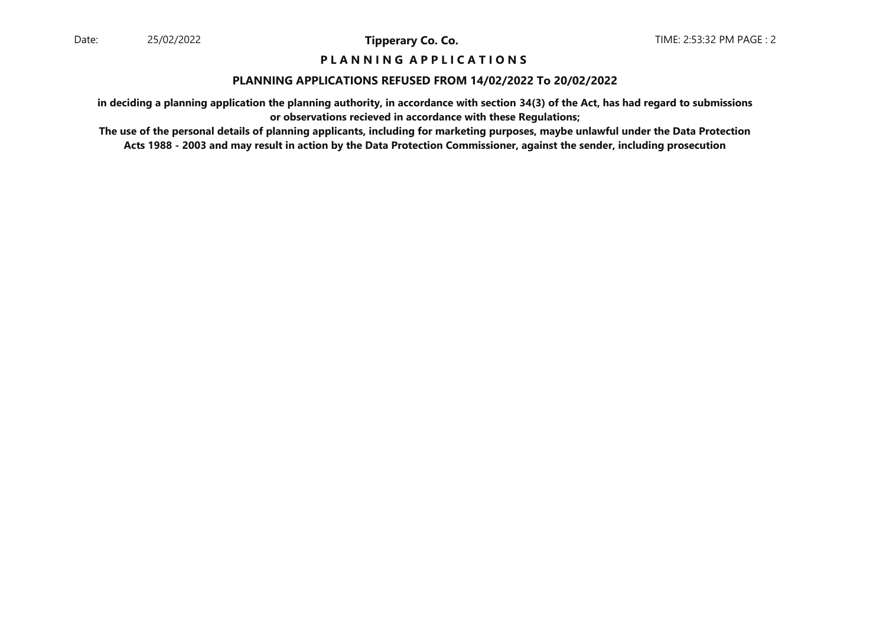### **P L A N N I N G A P P L I C A T I O N S**

#### **PLANNING APPLICATIONS REFUSED FROM 14/02/2022 To 20/02/2022**

**in deciding a planning application the planning authority, in accordance with section 34(3) of the Act, has had regard to submissionsor observations recieved in accordance with these Regulations;**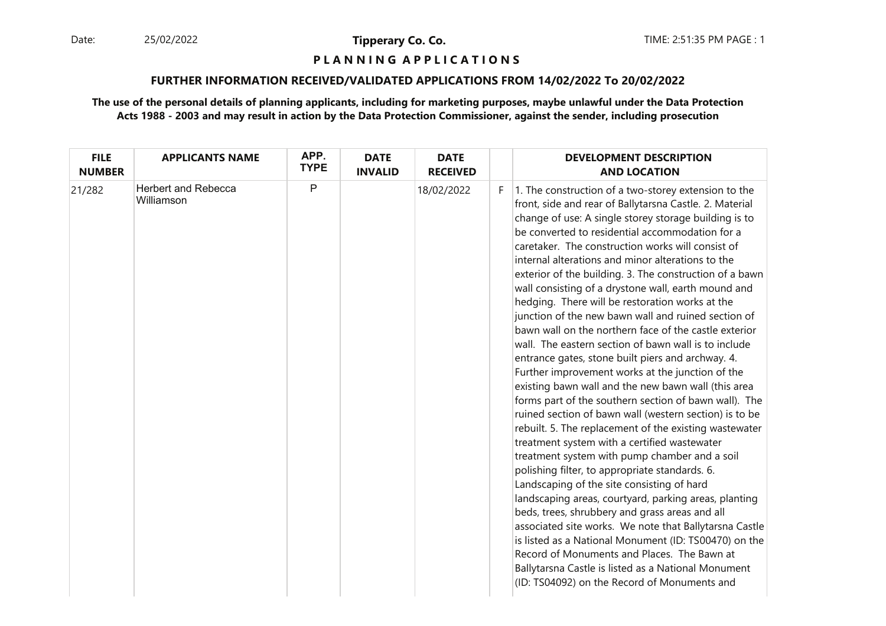Date: 25/02/2022 **Tipperary Co. Co. The Co. Co.** TIME: 2:51:35 PM PAGE : 1 25/02/2022

**Tipperary Co. Co.**

# **P L A N N I N G A P P L I C A T I O N S**

#### **FURTHER INFORMATION RECEIVED/VALIDATED APPLICATIONS FROM 14/02/2022 To 20/02/2022**

| <b>FILE</b><br><b>NUMBER</b> | <b>APPLICANTS NAME</b>                   | APP.<br><b>TYPE</b> | <b>DATE</b><br><b>INVALID</b> | <b>DATE</b><br><b>RECEIVED</b> |    | <b>DEVELOPMENT DESCRIPTION</b><br><b>AND LOCATION</b>                                                                                                                                                                                                                                                                                                                                                                                                                                                                                                                                                                                                                                                                                                                                                                                                                                                                                                                                                                                                                                                                                                                                                                                                                                                                                                                                                                                                                                                                                                                                                                |
|------------------------------|------------------------------------------|---------------------|-------------------------------|--------------------------------|----|----------------------------------------------------------------------------------------------------------------------------------------------------------------------------------------------------------------------------------------------------------------------------------------------------------------------------------------------------------------------------------------------------------------------------------------------------------------------------------------------------------------------------------------------------------------------------------------------------------------------------------------------------------------------------------------------------------------------------------------------------------------------------------------------------------------------------------------------------------------------------------------------------------------------------------------------------------------------------------------------------------------------------------------------------------------------------------------------------------------------------------------------------------------------------------------------------------------------------------------------------------------------------------------------------------------------------------------------------------------------------------------------------------------------------------------------------------------------------------------------------------------------------------------------------------------------------------------------------------------------|
| 21/282                       | <b>Herbert and Rebecca</b><br>Williamson | P                   |                               | 18/02/2022                     | F. | 1. The construction of a two-storey extension to the<br>front, side and rear of Ballytarsna Castle. 2. Material<br>change of use: A single storey storage building is to<br>be converted to residential accommodation for a<br>caretaker. The construction works will consist of<br>internal alterations and minor alterations to the<br>exterior of the building. 3. The construction of a bawn<br>wall consisting of a drystone wall, earth mound and<br>hedging. There will be restoration works at the<br>junction of the new bawn wall and ruined section of<br>bawn wall on the northern face of the castle exterior<br>wall. The eastern section of bawn wall is to include<br>entrance gates, stone built piers and archway. 4.<br>Further improvement works at the junction of the<br>existing bawn wall and the new bawn wall (this area<br>forms part of the southern section of bawn wall). The<br>ruined section of bawn wall (western section) is to be<br>rebuilt. 5. The replacement of the existing wastewater<br>treatment system with a certified wastewater<br>treatment system with pump chamber and a soil<br>polishing filter, to appropriate standards. 6.<br>Landscaping of the site consisting of hard<br>landscaping areas, courtyard, parking areas, planting<br>beds, trees, shrubbery and grass areas and all<br>associated site works. We note that Ballytarsna Castle<br>is listed as a National Monument (ID: TS00470) on the<br>Record of Monuments and Places. The Bawn at<br>Ballytarsna Castle is listed as a National Monument<br>(ID: TS04092) on the Record of Monuments and |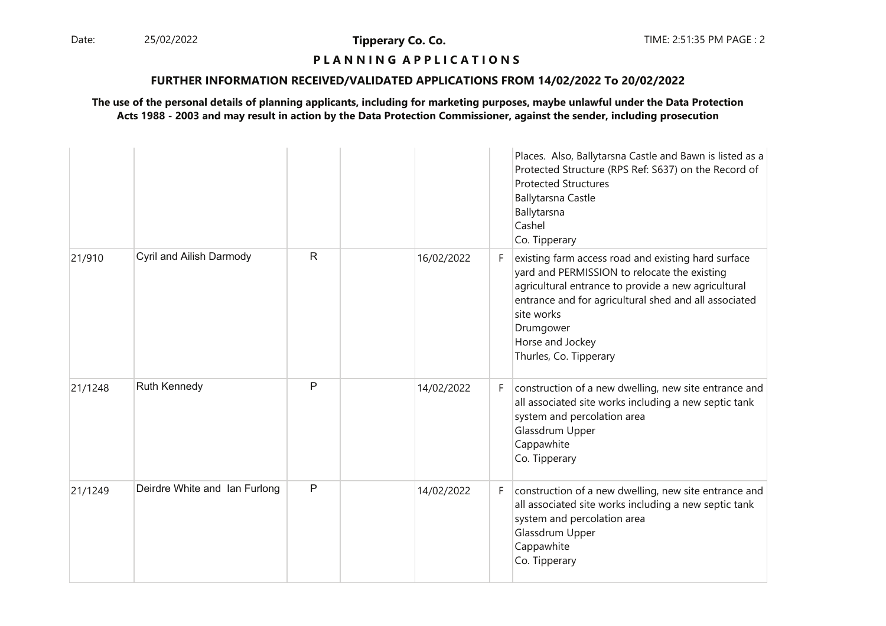Date: 25/02/2022 **Tipperary Co. Co. The Co. Co.** TIME: 2:51:35 PM PAGE : 2 25/02/2022

**Tipperary Co. Co.**

# **P L A N N I N G A P P L I C A T I O N S**

### **FURTHER INFORMATION RECEIVED/VALIDATED APPLICATIONS FROM 14/02/2022 To 20/02/2022**

|         |                               |              |                  | Places. Also, Ballytarsna Castle and Bawn is listed as a<br>Protected Structure (RPS Ref: S637) on the Record of<br><b>Protected Structures</b><br><b>Ballytarsna Castle</b><br>Ballytarsna<br>Cashel<br>Co. Tipperary                                                                       |
|---------|-------------------------------|--------------|------------------|----------------------------------------------------------------------------------------------------------------------------------------------------------------------------------------------------------------------------------------------------------------------------------------------|
| 21/910  | Cyril and Ailish Darmody      | $\mathsf{R}$ | 16/02/2022<br>F. | existing farm access road and existing hard surface<br>yard and PERMISSION to relocate the existing<br>agricultural entrance to provide a new agricultural<br>entrance and for agricultural shed and all associated<br>site works<br>Drumgower<br>Horse and Jockey<br>Thurles, Co. Tipperary |
| 21/1248 | <b>Ruth Kennedy</b>           | P            | 14/02/2022<br>F. | construction of a new dwelling, new site entrance and<br>all associated site works including a new septic tank<br>system and percolation area<br>Glassdrum Upper<br>Cappawhite<br>Co. Tipperary                                                                                              |
| 21/1249 | Deirdre White and Ian Furlong | $\mathsf{P}$ | 14/02/2022<br>F. | construction of a new dwelling, new site entrance and<br>all associated site works including a new septic tank<br>system and percolation area<br>Glassdrum Upper<br>Cappawhite<br>Co. Tipperary                                                                                              |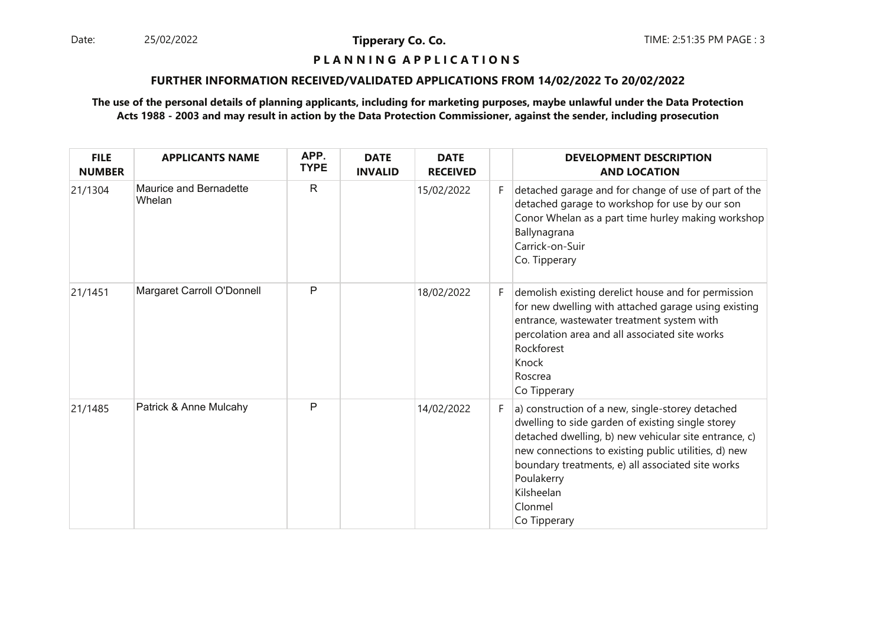Date: 25/02/2022 **Tipperary Co. Co. The Co. Co.** TIME: 2:51:35 PM PAGE : 3 25/02/2022

**Tipperary Co. Co.**

# **P L A N N I N G A P P L I C A T I O N S**

### **FURTHER INFORMATION RECEIVED/VALIDATED APPLICATIONS FROM 14/02/2022 To 20/02/2022**

| <b>FILE</b><br><b>NUMBER</b> | <b>APPLICANTS NAME</b>           | APP.<br><b>TYPE</b> | <b>DATE</b><br><b>INVALID</b> | <b>DATE</b><br><b>RECEIVED</b> |    | <b>DEVELOPMENT DESCRIPTION</b><br><b>AND LOCATION</b>                                                                                                                                                                                                                                                                              |
|------------------------------|----------------------------------|---------------------|-------------------------------|--------------------------------|----|------------------------------------------------------------------------------------------------------------------------------------------------------------------------------------------------------------------------------------------------------------------------------------------------------------------------------------|
| 21/1304                      | Maurice and Bernadette<br>Whelan | $\mathsf{R}$        |                               | 15/02/2022                     | F. | detached garage and for change of use of part of the<br>detached garage to workshop for use by our son<br>Conor Whelan as a part time hurley making workshop<br>Ballynagrana<br>Carrick-on-Suir<br>Co. Tipperary                                                                                                                   |
| 21/1451                      | Margaret Carroll O'Donnell       | P                   |                               | 18/02/2022                     | F. | demolish existing derelict house and for permission<br>for new dwelling with attached garage using existing<br>entrance, wastewater treatment system with<br>percolation area and all associated site works<br>Rockforest<br>Knock<br>Roscrea<br>Co Tipperary                                                                      |
| 21/1485                      | Patrick & Anne Mulcahy           | P                   |                               | 14/02/2022                     | F. | a) construction of a new, single-storey detached<br>dwelling to side garden of existing single storey<br>detached dwelling, b) new vehicular site entrance, c)<br>new connections to existing public utilities, d) new<br>boundary treatments, e) all associated site works<br>Poulakerry<br>Kilsheelan<br>Clonmel<br>Co Tipperary |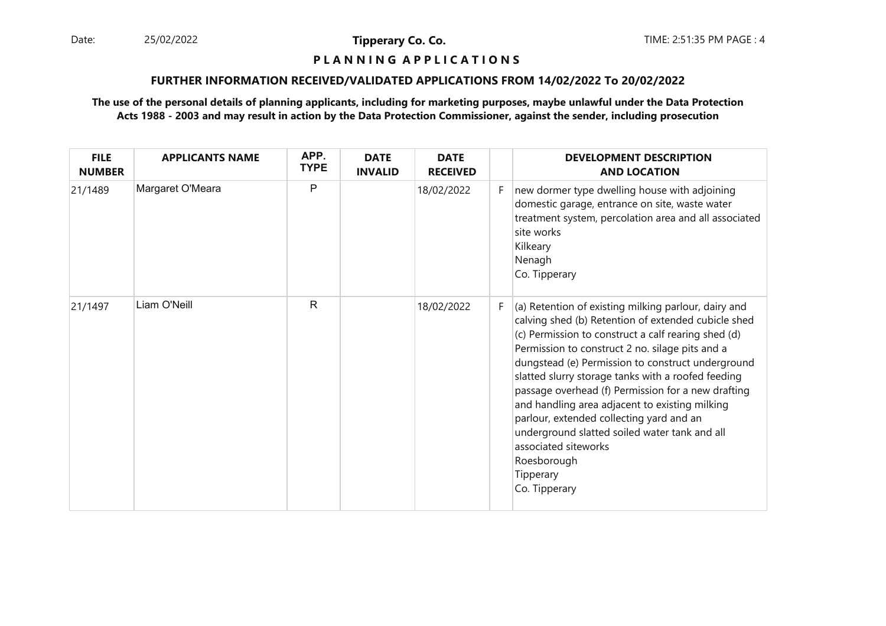Date: 25/02/2022 **Tipperary Co. Co. The Co. Co.** TIME: 2:51:35 PM PAGE : 4 25/02/2022

**Tipperary Co. Co.**

# **P L A N N I N G A P P L I C A T I O N S**

### **FURTHER INFORMATION RECEIVED/VALIDATED APPLICATIONS FROM 14/02/2022 To 20/02/2022**

| <b>FILE</b><br><b>NUMBER</b> | <b>APPLICANTS NAME</b> | APP.<br><b>TYPE</b> | <b>DATE</b><br><b>INVALID</b> | <b>DATE</b><br><b>RECEIVED</b> |    | <b>DEVELOPMENT DESCRIPTION</b><br><b>AND LOCATION</b>                                                                                                                                                                                                                                                                                                                                                                                                                                                                                                                                                      |
|------------------------------|------------------------|---------------------|-------------------------------|--------------------------------|----|------------------------------------------------------------------------------------------------------------------------------------------------------------------------------------------------------------------------------------------------------------------------------------------------------------------------------------------------------------------------------------------------------------------------------------------------------------------------------------------------------------------------------------------------------------------------------------------------------------|
| 21/1489                      | Margaret O'Meara       | P                   |                               | 18/02/2022                     | F. | new dormer type dwelling house with adjoining<br>domestic garage, entrance on site, waste water<br>treatment system, percolation area and all associated<br>site works<br>Kilkeary<br>Nenagh<br>Co. Tipperary                                                                                                                                                                                                                                                                                                                                                                                              |
| 21/1497                      | Liam O'Neill           | $\mathsf{R}$        |                               | 18/02/2022                     | F  | (a) Retention of existing milking parlour, dairy and<br>calving shed (b) Retention of extended cubicle shed<br>(c) Permission to construct a calf rearing shed (d)<br>Permission to construct 2 no. silage pits and a<br>dungstead (e) Permission to construct underground<br>slatted slurry storage tanks with a roofed feeding<br>passage overhead (f) Permission for a new drafting<br>and handling area adjacent to existing milking<br>parlour, extended collecting yard and an<br>underground slatted soiled water tank and all<br>associated siteworks<br>Roesborough<br>Tipperary<br>Co. Tipperary |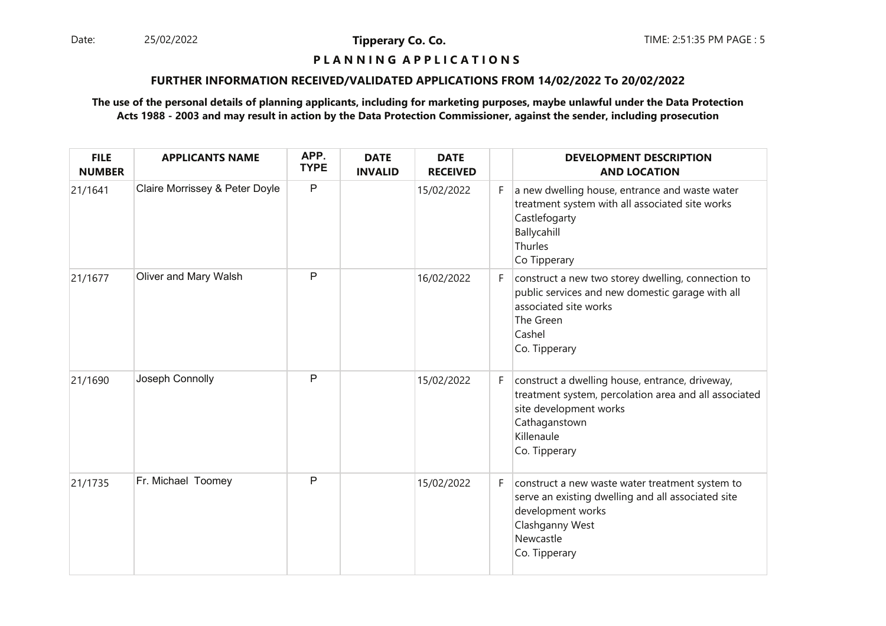Date: 25/02/2022 **Tipperary Co. Co. The Co. Co.** TIME: 2:51:35 PM PAGE : 5 25/02/2022

**Tipperary Co. Co.**

# **P L A N N I N G A P P L I C A T I O N S**

### **FURTHER INFORMATION RECEIVED/VALIDATED APPLICATIONS FROM 14/02/2022 To 20/02/2022**

| <b>FILE</b><br><b>NUMBER</b> | <b>APPLICANTS NAME</b>         | APP.<br><b>TYPE</b> | <b>DATE</b><br><b>INVALID</b> | <b>DATE</b><br><b>RECEIVED</b> |    | <b>DEVELOPMENT DESCRIPTION</b><br><b>AND LOCATION</b>                                                                                                                              |
|------------------------------|--------------------------------|---------------------|-------------------------------|--------------------------------|----|------------------------------------------------------------------------------------------------------------------------------------------------------------------------------------|
| 21/1641                      | Claire Morrissey & Peter Doyle | $\mathsf{P}$        |                               | 15/02/2022                     | F. | a new dwelling house, entrance and waste water<br>treatment system with all associated site works<br>Castlefogarty<br>Ballycahill<br>Thurles<br>Co Tipperary                       |
| 21/1677                      | Oliver and Mary Walsh          | P                   |                               | 16/02/2022                     | F. | construct a new two storey dwelling, connection to<br>public services and new domestic garage with all<br>associated site works<br>The Green<br>Cashel<br>Co. Tipperary            |
| 21/1690                      | Joseph Connolly                | P                   |                               | 15/02/2022                     | F. | construct a dwelling house, entrance, driveway,<br>treatment system, percolation area and all associated<br>site development works<br>Cathaganstown<br>Killenaule<br>Co. Tipperary |
| 21/1735                      | Fr. Michael Toomey             | P                   |                               | 15/02/2022                     | F. | construct a new waste water treatment system to<br>serve an existing dwelling and all associated site<br>development works<br>Clashganny West<br>Newcastle<br>Co. Tipperary        |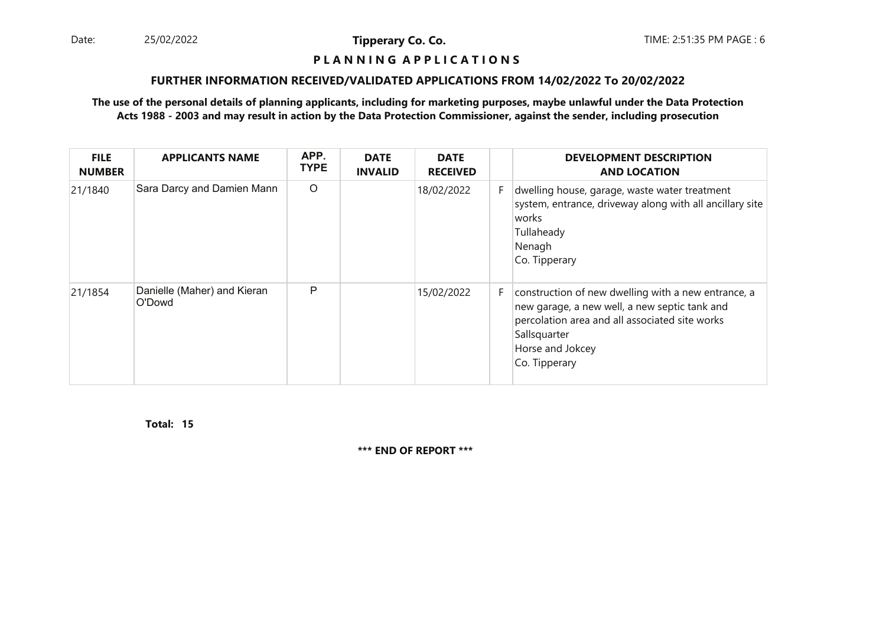Date: 25/02/2022 **Tipperary Co. Co. The Co. Co.** TIME: 2:51:35 PM PAGE : 6 25/02/2022

**Tipperary Co. Co.**

#### **P L A N N I N G A P P L I C A T I O N S**

### **FURTHER INFORMATION RECEIVED/VALIDATED APPLICATIONS FROM 14/02/2022 To 20/02/2022**

### **The use of the personal details of planning applicants, including for marketing purposes, maybe unlawful under the Data ProtectionActs 1988 - 2003 and may result in action by the Data Protection Commissioner, against the sender, including prosecution**

| <b>FILE</b><br><b>NUMBER</b> | <b>APPLICANTS NAME</b>                | APP.<br><b>TYPE</b> | <b>DATE</b><br><b>INVALID</b> | <b>DATE</b><br><b>RECEIVED</b> |    | <b>DEVELOPMENT DESCRIPTION</b><br><b>AND LOCATION</b>                                                                                                                                                       |
|------------------------------|---------------------------------------|---------------------|-------------------------------|--------------------------------|----|-------------------------------------------------------------------------------------------------------------------------------------------------------------------------------------------------------------|
| 21/1840                      | Sara Darcy and Damien Mann            | $\circ$             |                               | 18/02/2022                     | F. | dwelling house, garage, waste water treatment<br>system, entrance, driveway along with all ancillary site<br> works <br>Tullaheady<br>Nenagh<br>Co. Tipperary                                               |
| 21/1854                      | Danielle (Maher) and Kieran<br>O'Dowd | P                   |                               | 15/02/2022                     | F. | construction of new dwelling with a new entrance, a<br>new garage, a new well, a new septic tank and<br>percolation area and all associated site works<br>Sallsquarter<br>Horse and Jokcey<br>Co. Tipperary |

**15Total:**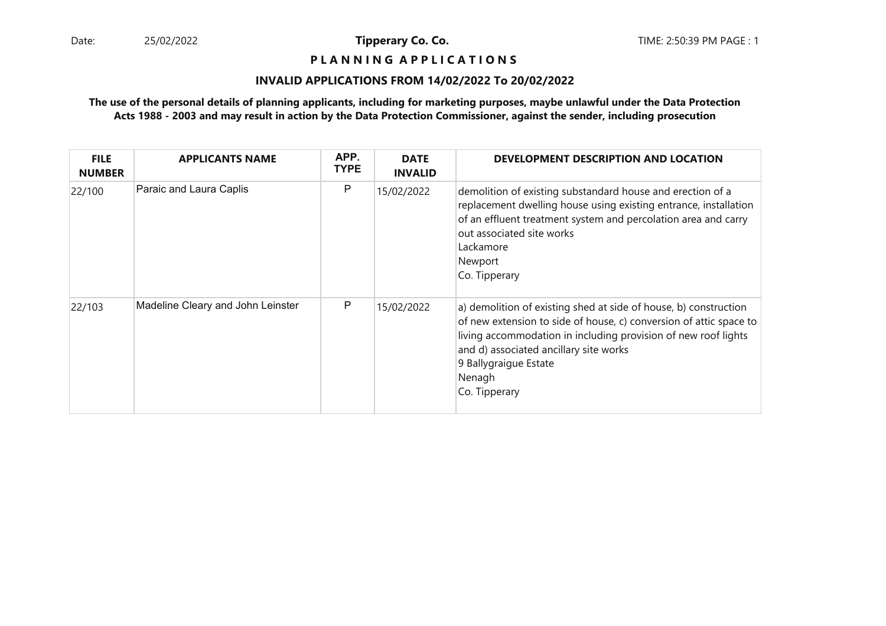## **P L A N N I N G A P P L I C A T I O N S**

### **INVALID APPLICATIONS FROM 14/02/2022 To 20/02/2022**

| <b>FILE</b><br><b>NUMBER</b> | <b>APPLICANTS NAME</b>            | APP.<br><b>TYPE</b> | <b>DATE</b><br><b>INVALID</b> | DEVELOPMENT DESCRIPTION AND LOCATION                                                                                                                                                                                                                                                                   |
|------------------------------|-----------------------------------|---------------------|-------------------------------|--------------------------------------------------------------------------------------------------------------------------------------------------------------------------------------------------------------------------------------------------------------------------------------------------------|
| 22/100                       | Paraic and Laura Caplis           | P                   | 15/02/2022                    | demolition of existing substandard house and erection of a<br>replacement dwelling house using existing entrance, installation<br>of an effluent treatment system and percolation area and carry<br>out associated site works<br>Lackamore<br>Newport<br>Co. Tipperary                                 |
| 22/103                       | Madeline Cleary and John Leinster | P                   | 15/02/2022                    | a) demolition of existing shed at side of house, b) construction<br>of new extension to side of house, c) conversion of attic space to<br>living accommodation in including provision of new roof lights<br>and d) associated ancillary site works<br>9 Ballygraigue Estate<br>Nenagh<br>Co. Tipperary |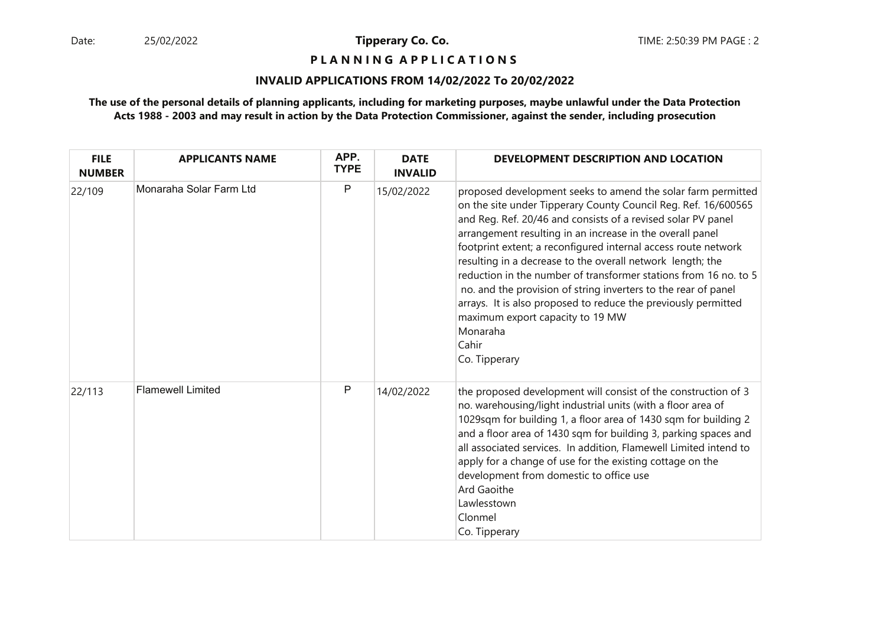**P L A N N I N G A P P L I C A T I O N S** 

### **INVALID APPLICATIONS FROM 14/02/2022 To 20/02/2022**

| <b>FILE</b><br><b>NUMBER</b> | <b>APPLICANTS NAME</b>   | APP.<br><b>TYPE</b> | <b>DATE</b><br><b>INVALID</b> | DEVELOPMENT DESCRIPTION AND LOCATION                                                                                                                                                                                                                                                                                                                                                                                                                                                                                                                                                                                                                                          |
|------------------------------|--------------------------|---------------------|-------------------------------|-------------------------------------------------------------------------------------------------------------------------------------------------------------------------------------------------------------------------------------------------------------------------------------------------------------------------------------------------------------------------------------------------------------------------------------------------------------------------------------------------------------------------------------------------------------------------------------------------------------------------------------------------------------------------------|
| 22/109                       | Monaraha Solar Farm Ltd  | ${\sf P}$           | 15/02/2022                    | proposed development seeks to amend the solar farm permitted<br>on the site under Tipperary County Council Reg. Ref. 16/600565<br>and Reg. Ref. 20/46 and consists of a revised solar PV panel<br>arrangement resulting in an increase in the overall panel<br>footprint extent; a reconfigured internal access route network<br>resulting in a decrease to the overall network length; the<br>reduction in the number of transformer stations from 16 no. to 5<br>no. and the provision of string inverters to the rear of panel<br>arrays. It is also proposed to reduce the previously permitted<br>maximum export capacity to 19 MW<br>Monaraha<br>Cahir<br>Co. Tipperary |
| 22/113                       | <b>Flamewell Limited</b> | $\mathsf{P}$        | 14/02/2022                    | the proposed development will consist of the construction of 3<br>no. warehousing/light industrial units (with a floor area of<br>1029sqm for building 1, a floor area of 1430 sqm for building 2<br>and a floor area of 1430 sqm for building 3, parking spaces and<br>all associated services. In addition, Flamewell Limited intend to<br>apply for a change of use for the existing cottage on the<br>development from domestic to office use<br>Ard Gaoithe<br>Lawlesstown<br>Clonmel<br>Co. Tipperary                                                                                                                                                                   |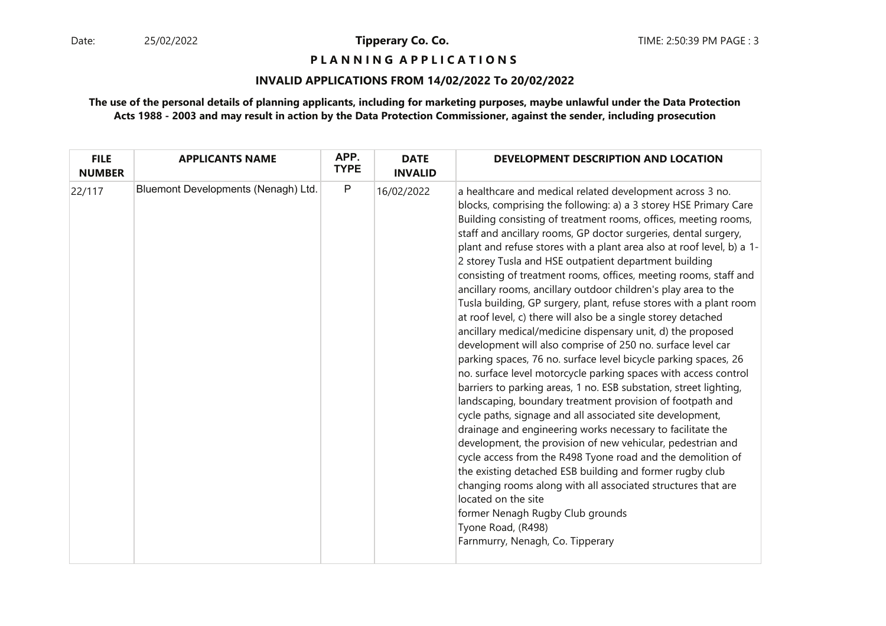**P L A N N I N G A P P L I C A T I O N S** 

### **INVALID APPLICATIONS FROM 14/02/2022 To 20/02/2022**

| <b>FILE</b><br><b>NUMBER</b> | <b>APPLICANTS NAME</b>              | APP.<br><b>TYPE</b> | <b>DATE</b><br><b>INVALID</b> | DEVELOPMENT DESCRIPTION AND LOCATION                                                                                                                                                                                                                                                                                                                                                                                                                                                                                                                                                                                                                                                                                                                                                                                                                                                                                                                                                                                                                                                                                                                                                                                                                                                                                                                                                                                                                                                                                                                                                               |
|------------------------------|-------------------------------------|---------------------|-------------------------------|----------------------------------------------------------------------------------------------------------------------------------------------------------------------------------------------------------------------------------------------------------------------------------------------------------------------------------------------------------------------------------------------------------------------------------------------------------------------------------------------------------------------------------------------------------------------------------------------------------------------------------------------------------------------------------------------------------------------------------------------------------------------------------------------------------------------------------------------------------------------------------------------------------------------------------------------------------------------------------------------------------------------------------------------------------------------------------------------------------------------------------------------------------------------------------------------------------------------------------------------------------------------------------------------------------------------------------------------------------------------------------------------------------------------------------------------------------------------------------------------------------------------------------------------------------------------------------------------------|
| 22/117                       | Bluemont Developments (Nenagh) Ltd. | $\mathsf{P}$        | 16/02/2022                    | a healthcare and medical related development across 3 no.<br>blocks, comprising the following: a) a 3 storey HSE Primary Care<br>Building consisting of treatment rooms, offices, meeting rooms,<br>staff and ancillary rooms, GP doctor surgeries, dental surgery,<br>plant and refuse stores with a plant area also at roof level, b) a 1-<br>2 storey Tusla and HSE outpatient department building<br>consisting of treatment rooms, offices, meeting rooms, staff and<br>ancillary rooms, ancillary outdoor children's play area to the<br>Tusla building, GP surgery, plant, refuse stores with a plant room<br>at roof level, c) there will also be a single storey detached<br>ancillary medical/medicine dispensary unit, d) the proposed<br>development will also comprise of 250 no. surface level car<br>parking spaces, 76 no. surface level bicycle parking spaces, 26<br>no. surface level motorcycle parking spaces with access control<br>barriers to parking areas, 1 no. ESB substation, street lighting,<br>landscaping, boundary treatment provision of footpath and<br>cycle paths, signage and all associated site development,<br>drainage and engineering works necessary to facilitate the<br>development, the provision of new vehicular, pedestrian and<br>cycle access from the R498 Tyone road and the demolition of<br>the existing detached ESB building and former rugby club<br>changing rooms along with all associated structures that are<br>located on the site<br>former Nenagh Rugby Club grounds<br>Tyone Road, (R498)<br>Farnmurry, Nenagh, Co. Tipperary |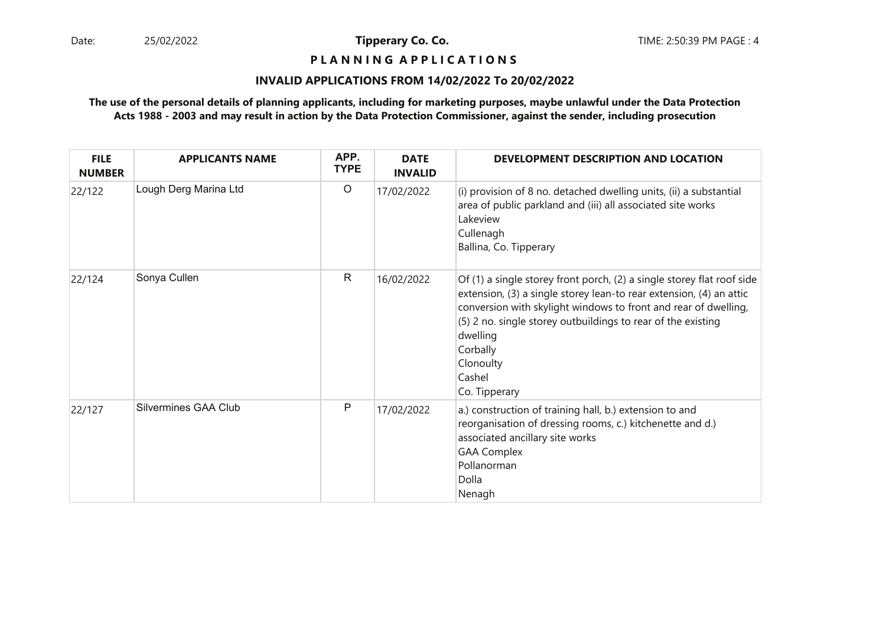### **P L A N N I N G A P P L I C A T I O N S**

### **INVALID APPLICATIONS FROM 14/02/2022 To 20/02/2022**

| <b>FILE</b><br><b>NUMBER</b> | <b>APPLICANTS NAME</b> | APP.<br><b>TYPE</b> | <b>DATE</b><br><b>INVALID</b> | DEVELOPMENT DESCRIPTION AND LOCATION                                                                                                                                                                                                                                                                                                             |
|------------------------------|------------------------|---------------------|-------------------------------|--------------------------------------------------------------------------------------------------------------------------------------------------------------------------------------------------------------------------------------------------------------------------------------------------------------------------------------------------|
| 22/122                       | Lough Derg Marina Ltd  | $\circ$             | 17/02/2022                    | (i) provision of 8 no. detached dwelling units, (ii) a substantial<br>area of public parkland and (iii) all associated site works<br>Lakeview<br>Cullenagh<br>Ballina, Co. Tipperary                                                                                                                                                             |
| 22/124                       | Sonya Cullen           | $\mathsf{R}$        | 16/02/2022                    | Of (1) a single storey front porch, (2) a single storey flat roof side<br>extension, (3) a single storey lean-to rear extension, (4) an attic<br>conversion with skylight windows to front and rear of dwelling,<br>(5) 2 no. single storey outbuildings to rear of the existing<br>dwelling<br>Corbally<br>Clonoulty<br>Cashel<br>Co. Tipperary |
| 22/127                       | Silvermines GAA Club   | P                   | 17/02/2022                    | a.) construction of training hall, b.) extension to and<br>reorganisation of dressing rooms, c.) kitchenette and d.)<br>associated ancillary site works<br><b>GAA Complex</b><br>Pollanorman<br>Dolla<br>Nenagh                                                                                                                                  |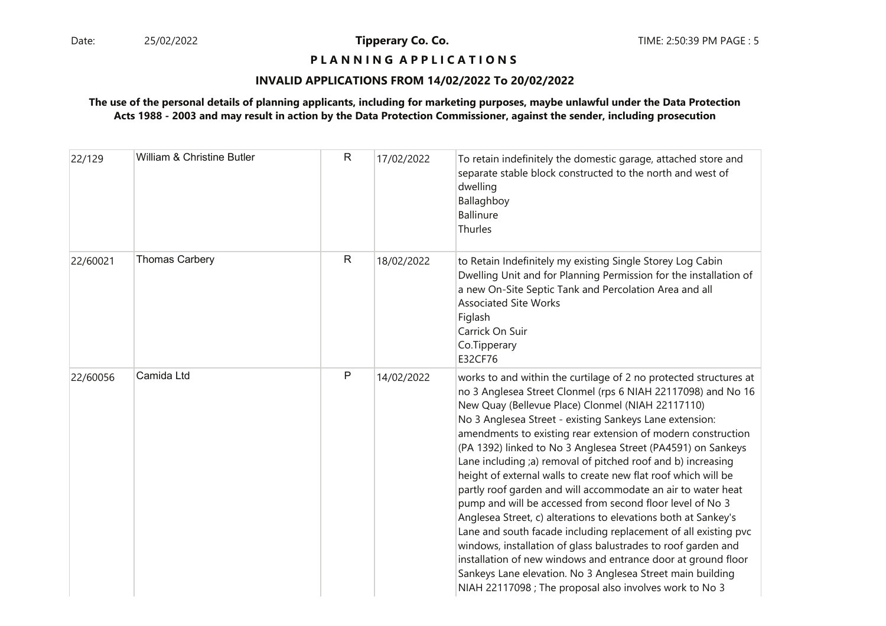# **P L A N N I N G A P P L I C A T I O N S**

### **INVALID APPLICATIONS FROM 14/02/2022 To 20/02/2022**

| 22/129   | William & Christine Butler | R | 17/02/2022 | To retain indefinitely the domestic garage, attached store and<br>separate stable block constructed to the north and west of<br>dwelling<br>Ballaghboy<br><b>Ballinure</b><br>Thurles                                                                                                                                                                                                                                                                                                                                                                                                                                                                                                                                                                                                                                                                                                                                                                                                                                                            |
|----------|----------------------------|---|------------|--------------------------------------------------------------------------------------------------------------------------------------------------------------------------------------------------------------------------------------------------------------------------------------------------------------------------------------------------------------------------------------------------------------------------------------------------------------------------------------------------------------------------------------------------------------------------------------------------------------------------------------------------------------------------------------------------------------------------------------------------------------------------------------------------------------------------------------------------------------------------------------------------------------------------------------------------------------------------------------------------------------------------------------------------|
| 22/60021 | <b>Thomas Carbery</b>      | R | 18/02/2022 | to Retain Indefinitely my existing Single Storey Log Cabin<br>Dwelling Unit and for Planning Permission for the installation of<br>a new On-Site Septic Tank and Percolation Area and all<br><b>Associated Site Works</b><br>Figlash<br>Carrick On Suir<br>Co.Tipperary<br>E32CF76                                                                                                                                                                                                                                                                                                                                                                                                                                                                                                                                                                                                                                                                                                                                                               |
| 22/60056 | Camida Ltd                 | P | 14/02/2022 | works to and within the curtilage of 2 no protected structures at<br>no 3 Anglesea Street Clonmel (rps 6 NIAH 22117098) and No 16<br>New Quay (Bellevue Place) Clonmel (NIAH 22117110)<br>No 3 Anglesea Street - existing Sankeys Lane extension:<br>amendments to existing rear extension of modern construction<br>(PA 1392) linked to No 3 Anglesea Street (PA4591) on Sankeys<br>Lane including ;a) removal of pitched roof and b) increasing<br>height of external walls to create new flat roof which will be<br>partly roof garden and will accommodate an air to water heat<br>pump and will be accessed from second floor level of No 3<br>Anglesea Street, c) alterations to elevations both at Sankey's<br>Lane and south facade including replacement of all existing pvc<br>windows, installation of glass balustrades to roof garden and<br>installation of new windows and entrance door at ground floor<br>Sankeys Lane elevation. No 3 Anglesea Street main building<br>NIAH 22117098 ; The proposal also involves work to No 3 |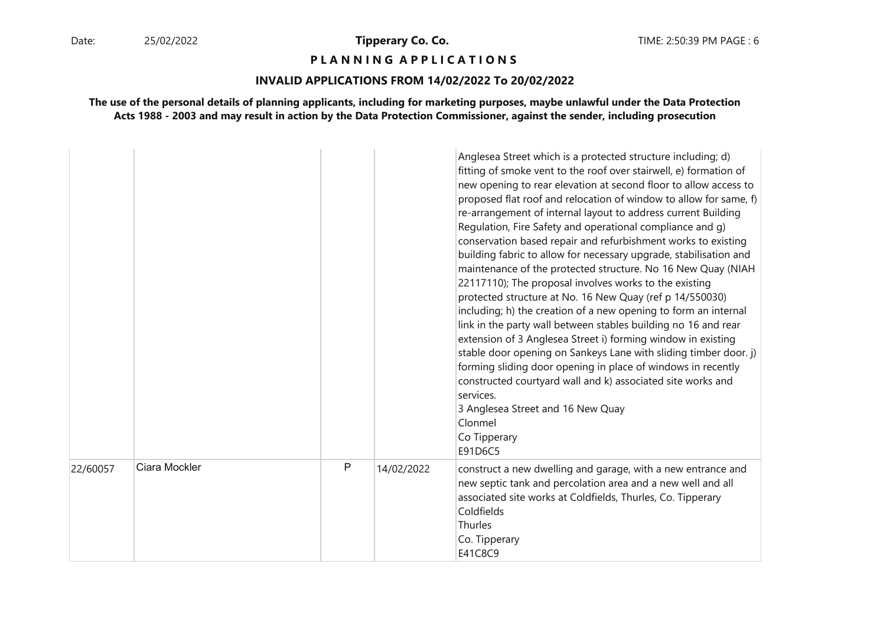#### **P L A N N I N G A P P L I C A T I O N S**

### **INVALID APPLICATIONS FROM 14/02/2022 To 20/02/2022**

|          |               |   |            | Anglesea Street which is a protected structure including; d)<br>fitting of smoke vent to the roof over stairwell, e) formation of<br>new opening to rear elevation at second floor to allow access to<br>proposed flat roof and relocation of window to allow for same, f)<br>re-arrangement of internal layout to address current Building<br>Regulation, Fire Safety and operational compliance and g)<br>conservation based repair and refurbishment works to existing<br>building fabric to allow for necessary upgrade, stabilisation and<br>maintenance of the protected structure. No 16 New Quay (NIAH<br>22117110); The proposal involves works to the existing<br>protected structure at No. 16 New Quay (ref p 14/550030)<br>including; h) the creation of a new opening to form an internal<br>link in the party wall between stables building no 16 and rear<br>extension of 3 Anglesea Street i) forming window in existing<br>stable door opening on Sankeys Lane with sliding timber door. j)<br>forming sliding door opening in place of windows in recently<br>constructed courtyard wall and k) associated site works and<br>services.<br>3 Anglesea Street and 16 New Quay<br>Clonmel<br>Co Tipperary<br>E91D6C5 |
|----------|---------------|---|------------|--------------------------------------------------------------------------------------------------------------------------------------------------------------------------------------------------------------------------------------------------------------------------------------------------------------------------------------------------------------------------------------------------------------------------------------------------------------------------------------------------------------------------------------------------------------------------------------------------------------------------------------------------------------------------------------------------------------------------------------------------------------------------------------------------------------------------------------------------------------------------------------------------------------------------------------------------------------------------------------------------------------------------------------------------------------------------------------------------------------------------------------------------------------------------------------------------------------------------------------|
| 22/60057 | Ciara Mockler | P | 14/02/2022 | construct a new dwelling and garage, with a new entrance and<br>new septic tank and percolation area and a new well and all<br>associated site works at Coldfields, Thurles, Co. Tipperary<br>Coldfields<br>Thurles<br>Co. Tipperary<br>E41C8C9                                                                                                                                                                                                                                                                                                                                                                                                                                                                                                                                                                                                                                                                                                                                                                                                                                                                                                                                                                                      |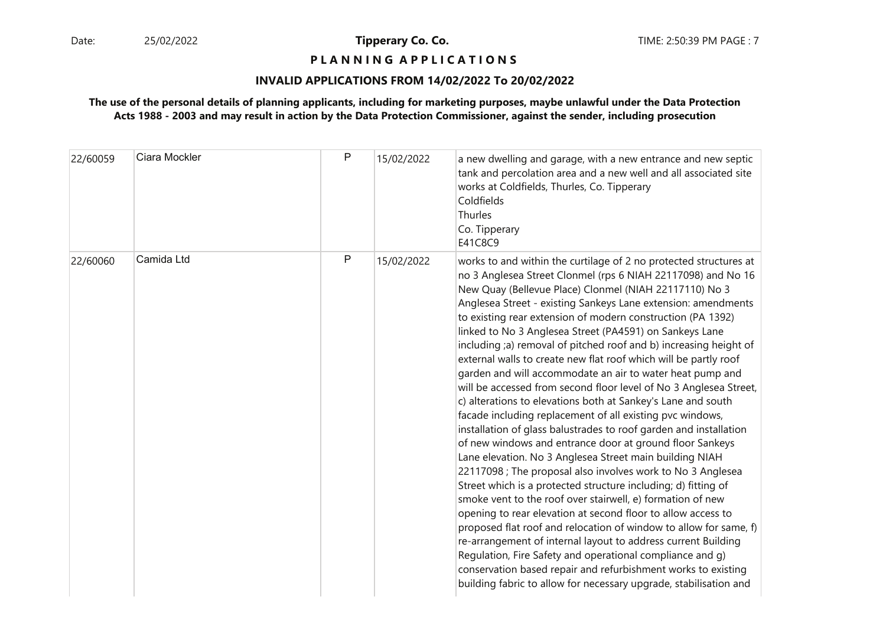### **P L A N N I N G A P P L I C A T I O N S**

#### **INVALID APPLICATIONS FROM 14/02/2022 To 20/02/2022**

| 22/60059 | Ciara Mockler | P | 15/02/2022 | a new dwelling and garage, with a new entrance and new septic<br>tank and percolation area and a new well and all associated site<br>works at Coldfields, Thurles, Co. Tipperary<br>Coldfields<br>Thurles<br>Co. Tipperary<br>E41C8C9                                                                                                                                                                                                                                                                                                                                                                                                                                                                                                                                                                                                                                                                                                                                                                                                                                                                                                                                                                                                                                                                                                                                                                                                                                                                                                                                                              |
|----------|---------------|---|------------|----------------------------------------------------------------------------------------------------------------------------------------------------------------------------------------------------------------------------------------------------------------------------------------------------------------------------------------------------------------------------------------------------------------------------------------------------------------------------------------------------------------------------------------------------------------------------------------------------------------------------------------------------------------------------------------------------------------------------------------------------------------------------------------------------------------------------------------------------------------------------------------------------------------------------------------------------------------------------------------------------------------------------------------------------------------------------------------------------------------------------------------------------------------------------------------------------------------------------------------------------------------------------------------------------------------------------------------------------------------------------------------------------------------------------------------------------------------------------------------------------------------------------------------------------------------------------------------------------|
| 22/60060 | Camida Ltd    | P | 15/02/2022 | works to and within the curtilage of 2 no protected structures at<br>no 3 Anglesea Street Clonmel (rps 6 NIAH 22117098) and No 16<br>New Quay (Bellevue Place) Clonmel (NIAH 22117110) No 3<br>Anglesea Street - existing Sankeys Lane extension: amendments<br>to existing rear extension of modern construction (PA 1392)<br>linked to No 3 Anglesea Street (PA4591) on Sankeys Lane<br>including ;a) removal of pitched roof and b) increasing height of<br>external walls to create new flat roof which will be partly roof<br>garden and will accommodate an air to water heat pump and<br>will be accessed from second floor level of No 3 Anglesea Street,<br>c) alterations to elevations both at Sankey's Lane and south<br>facade including replacement of all existing pvc windows,<br>installation of glass balustrades to roof garden and installation<br>of new windows and entrance door at ground floor Sankeys<br>Lane elevation. No 3 Anglesea Street main building NIAH<br>22117098 ; The proposal also involves work to No 3 Anglesea<br>Street which is a protected structure including; d) fitting of<br>smoke vent to the roof over stairwell, e) formation of new<br>opening to rear elevation at second floor to allow access to<br>proposed flat roof and relocation of window to allow for same, f)<br>re-arrangement of internal layout to address current Building<br>Regulation, Fire Safety and operational compliance and g)<br>conservation based repair and refurbishment works to existing<br>building fabric to allow for necessary upgrade, stabilisation and |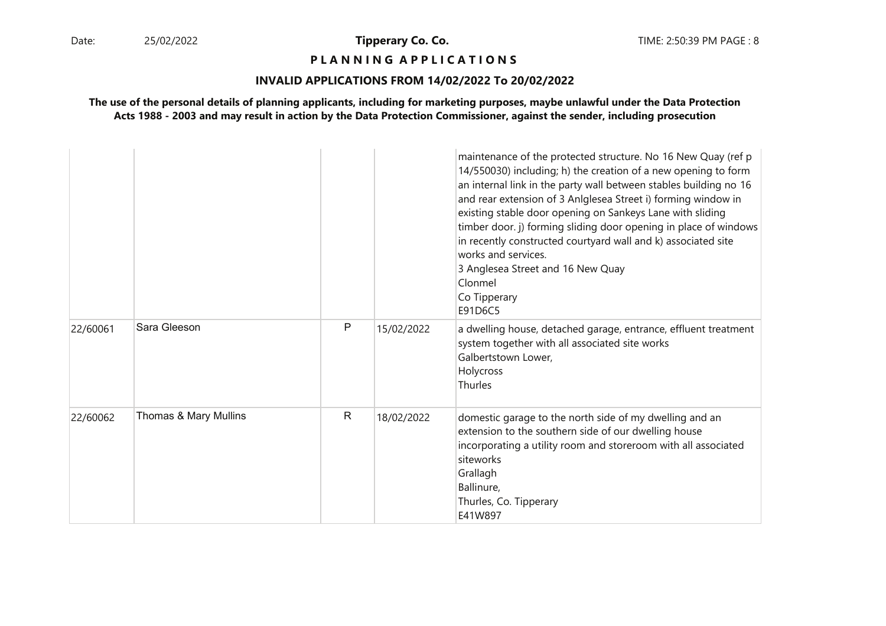### **P L A N N I N G A P P L I C A T I O N S**

### **INVALID APPLICATIONS FROM 14/02/2022 To 20/02/2022**

|          |                       |   |            | maintenance of the protected structure. No 16 New Quay (ref p<br>14/550030) including; h) the creation of a new opening to form<br>an internal link in the party wall between stables building no 16<br>and rear extension of 3 Anlglesea Street i) forming window in<br>existing stable door opening on Sankeys Lane with sliding<br>timber door. j) forming sliding door opening in place of windows<br>in recently constructed courtyard wall and k) associated site<br>works and services.<br>3 Anglesea Street and 16 New Quay<br>Clonmel<br>Co Tipperary<br>E91D6C5 |
|----------|-----------------------|---|------------|---------------------------------------------------------------------------------------------------------------------------------------------------------------------------------------------------------------------------------------------------------------------------------------------------------------------------------------------------------------------------------------------------------------------------------------------------------------------------------------------------------------------------------------------------------------------------|
| 22/60061 | Sara Gleeson          | P | 15/02/2022 | a dwelling house, detached garage, entrance, effluent treatment<br>system together with all associated site works<br>Galbertstown Lower,<br>Holycross<br>Thurles                                                                                                                                                                                                                                                                                                                                                                                                          |
| 22/60062 | Thomas & Mary Mullins | R | 18/02/2022 | domestic garage to the north side of my dwelling and an<br>extension to the southern side of our dwelling house<br>incorporating a utility room and storeroom with all associated<br>siteworks<br>Grallagh<br>Ballinure,<br>Thurles, Co. Tipperary<br>E41W897                                                                                                                                                                                                                                                                                                             |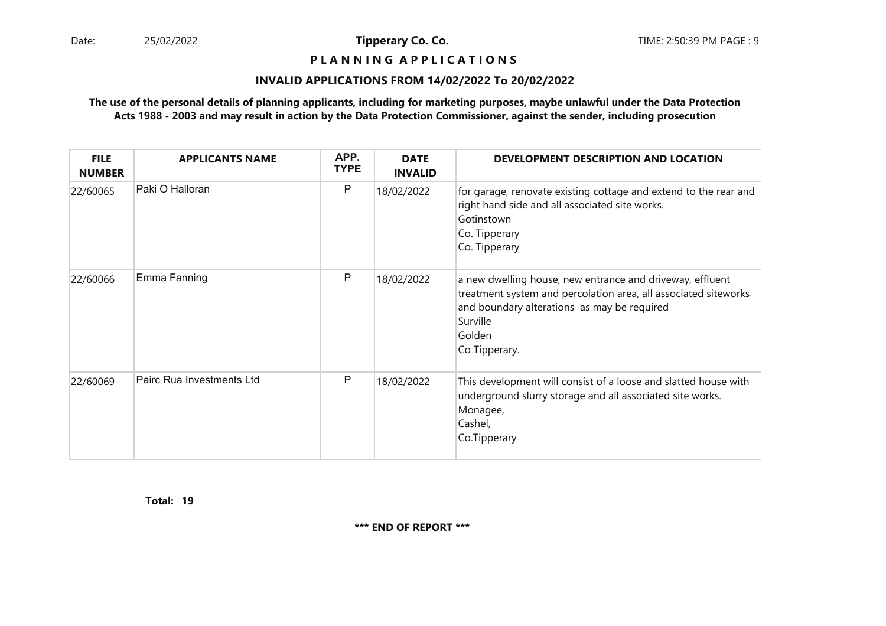## **P L A N N I N G A P P L I C A T I O N S**

### **INVALID APPLICATIONS FROM 14/02/2022 To 20/02/2022**

### **The use of the personal details of planning applicants, including for marketing purposes, maybe unlawful under the Data ProtectionActs 1988 - 2003 and may result in action by the Data Protection Commissioner, against the sender, including prosecution**

| <b>FILE</b><br><b>NUMBER</b> | <b>APPLICANTS NAME</b>    | APP.<br><b>TYPE</b> | <b>DATE</b><br><b>INVALID</b> | DEVELOPMENT DESCRIPTION AND LOCATION                                                                                                                                                                               |
|------------------------------|---------------------------|---------------------|-------------------------------|--------------------------------------------------------------------------------------------------------------------------------------------------------------------------------------------------------------------|
| 22/60065                     | Paki O Halloran           | P                   | 18/02/2022                    | for garage, renovate existing cottage and extend to the rear and<br>right hand side and all associated site works.<br>Gotinstown<br>Co. Tipperary<br>Co. Tipperary                                                 |
| 22/60066                     | Emma Fanning              | P                   | 18/02/2022                    | a new dwelling house, new entrance and driveway, effluent<br>treatment system and percolation area, all associated siteworks<br>and boundary alterations as may be required<br>Surville<br>Golden<br>Co Tipperary. |
| 22/60069                     | Pairc Rua Investments Ltd | Р                   | 18/02/2022                    | This development will consist of a loose and slatted house with<br>underground slurry storage and all associated site works.<br>Monagee,<br>Cashel,<br>Co.Tipperary                                                |

**19Total:**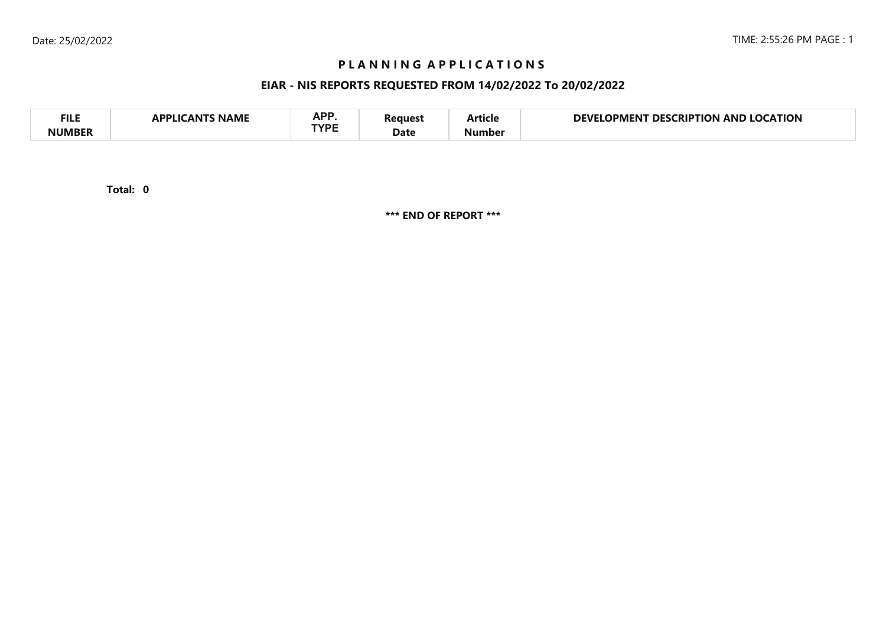# **P L A N N I N G A P P L I C A T I O N S**

# **EIAR - NIS REPORTS REQUESTED FROM 14/02/2022 To 20/02/2022**

| <b>FILE</b>   | <b>NAME</b><br>`A NIT<br>ADDI I <i>c</i> | A D D<br>AFI<br><b>TVDE</b> | ?eaues: | . .<br>Article | <b>LOCATION</b><br>DEVI<br>CRIPTION<br>DES.<br>AND<br>OPMENT |
|---------------|------------------------------------------|-----------------------------|---------|----------------|--------------------------------------------------------------|
| <b>NUMBER</b> |                                          |                             | Date    | Number         |                                                              |

**0Total:**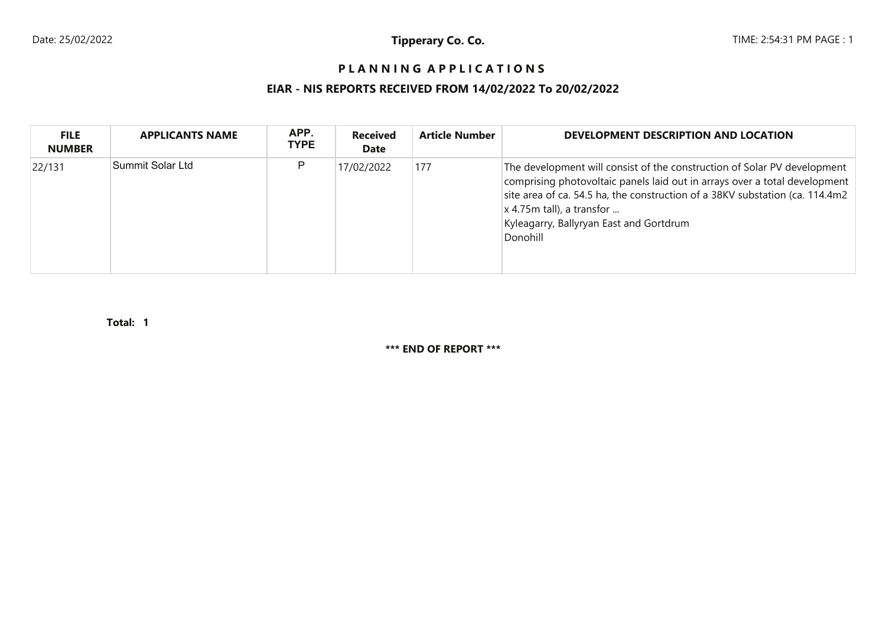# **P L A N N I N G A P P L I C A T I O N S**

# **EIAR - NIS REPORTS RECEIVED FROM 14/02/2022 To 20/02/2022**

| <b>FILE</b><br><b>NUMBER</b> | <b>APPLICANTS NAME</b> | APP.<br><b>TYPE</b> | <b>Received</b><br><b>Date</b> | <b>Article Number</b> | DEVELOPMENT DESCRIPTION AND LOCATION                                                                                                                                                                                                                                                                                         |
|------------------------------|------------------------|---------------------|--------------------------------|-----------------------|------------------------------------------------------------------------------------------------------------------------------------------------------------------------------------------------------------------------------------------------------------------------------------------------------------------------------|
| 22/131                       | Summit Solar Ltd       | P                   | 17/02/2022                     | 177                   | The development will consist of the construction of Solar PV development<br>comprising photovoltaic panels laid out in arrays over a total development<br>site area of ca. 54.5 ha, the construction of a 38KV substation (ca. 114.4m2<br>$x$ 4.75m tall), a transfor<br>Kyleagarry, Ballyryan East and Gortdrum<br>Donohill |

**1Total:**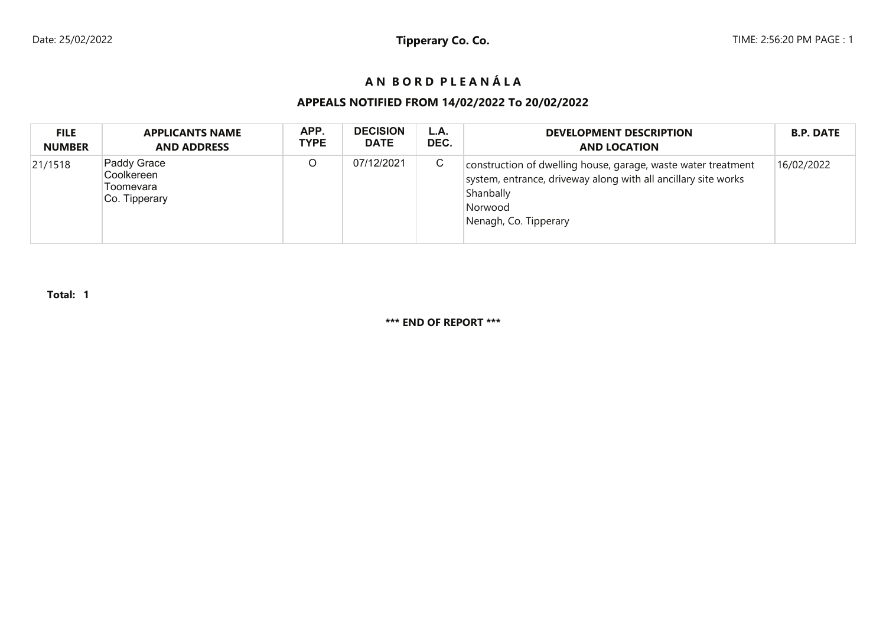# **A N B O R D P L E A N Á L A**

# **APPEALS NOTIFIED FROM 14/02/2022 To 20/02/2022**

| <b>FILE</b>   | <b>APPLICANTS NAME</b>                                  | APP.        | <b>DECISION</b> | L.A. | <b>DEVELOPMENT DESCRIPTION</b>                                                                                                                                                   | <b>B.P. DATE</b> |
|---------------|---------------------------------------------------------|-------------|-----------------|------|----------------------------------------------------------------------------------------------------------------------------------------------------------------------------------|------------------|
| <b>NUMBER</b> | <b>AND ADDRESS</b>                                      | <b>TYPE</b> | <b>DATE</b>     | DEC. | <b>AND LOCATION</b>                                                                                                                                                              |                  |
| 21/1518       | Paddy Grace<br>Coolkereen<br>Toomevara<br>Co. Tipperary | O           | 07/12/2021      | C    | construction of dwelling house, garage, waste water treatment<br>system, entrance, driveway along with all ancillary site works<br>Shanbally<br>Norwood<br>Nenagh, Co. Tipperary | 16/02/2022       |

**Total: 1**